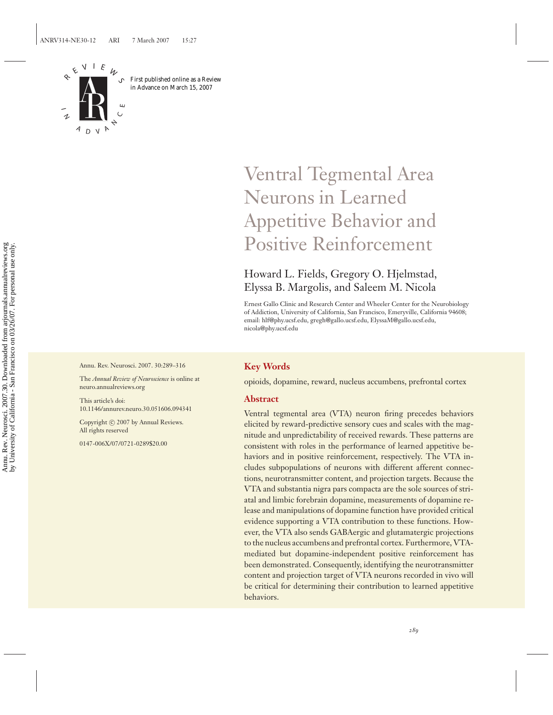

S First published online as a Review in Advance on March 15, 2007

# Ventral Tegmental Area Neurons in Learned Appetitive Behavior and Positive Reinforcement

# Howard L. Fields, Gregory O. Hjelmstad, Elyssa B. Margolis, and Saleem M. Nicola

Ernest Gallo Clinic and Research Center and Wheeler Center for the Neurobiology of Addiction, University of California, San Francisco, Emeryville, California 94608; email: hlf@phy.ucsf.edu, gregh@gallo.ucsf.edu, ElyssaM@gallo.ucsf.edu, nicola@phy.ucsf.edu

Annu. Rev. Neurosci. 2007. 30:289–316

The *Annual Review of Neuroscience* is online at neuro.annualreviews.org

This article's doi: 10.1146/annurev.neuro.30.051606.094341

Copyright  $\odot$  2007 by Annual Reviews. All rights reserved

0147-006X/07/0721-0289\$20.00

#### **Key Words**

opioids, dopamine, reward, nucleus accumbens, prefrontal cortex

#### **Abstract**

Ventral tegmental area (VTA) neuron firing precedes behaviors elicited by reward-predictive sensory cues and scales with the magnitude and unpredictability of received rewards. These patterns are consistent with roles in the performance of learned appetitive behaviors and in positive reinforcement, respectively. The VTA includes subpopulations of neurons with different afferent connections, neurotransmitter content, and projection targets. Because the VTA and substantia nigra pars compacta are the sole sources of striatal and limbic forebrain dopamine, measurements of dopamine release and manipulations of dopamine function have provided critical evidence supporting a VTA contribution to these functions. However, the VTA also sends GABAergic and glutamatergic projections to the nucleus accumbens and prefrontal cortex. Furthermore, VTAmediated but dopamine-independent positive reinforcement has been demonstrated. Consequently, identifying the neurotransmitter content and projection target of VTA neurons recorded in vivo will be critical for determining their contribution to learned appetitive behaviors.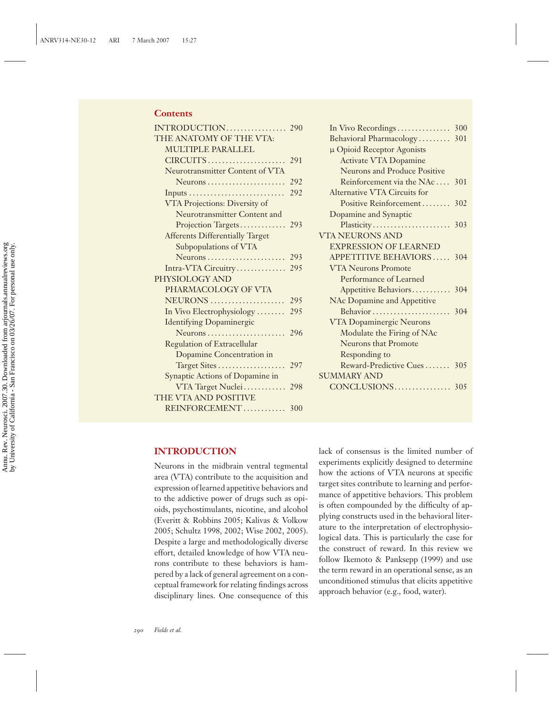# **Contents**

| INTRODUCTION 290                       |     |
|----------------------------------------|-----|
| THE ANATOMY OF THE VTA:                |     |
| MULTIPLE PARALLEL                      |     |
| CIRCUITS                               | 291 |
| Neurotransmitter Content of VTA        |     |
| Neurons                                | 292 |
|                                        | 292 |
| VTA Projections: Diversity of          |     |
| Neurotransmitter Content and           |     |
| Projection Targets 293                 |     |
| <b>Afferents Differentially Target</b> |     |
| Subpopulations of VTA                  |     |
|                                        |     |
| Intra-VTA Circuitry 295                |     |
| PHYSIOLOGY AND                         |     |
| PHARMACOLOGY OF VTA                    |     |
| NEURONS                                | 295 |
| In Vivo Electrophysiology              | 295 |
| <b>Identifying Dopaminergic</b>        |     |
| Neurons                                | 296 |
| Regulation of Extracellular            |     |
| Dopamine Concentration in              |     |
|                                        |     |
| Synaptic Actions of Dopamine in        |     |
| VTA Target Nuclei 298                  |     |
| THE VTA AND POSITIVE                   |     |
| REINFORCEMENT                          | 300 |

| In Vivo Recordings              | 300 |
|---------------------------------|-----|
| Behavioral Pharmacology         | 301 |
| µ Opioid Receptor Agonists      |     |
| <b>Activate VTA Dopamine</b>    |     |
| Neurons and Produce Positive    |     |
| Reinforcement via the NAc       | 301 |
| Alternative VTA Circuits for    |     |
| Positive Reinforcement          | 302 |
| Dopamine and Synaptic           |     |
|                                 |     |
| <b>VTA NEURONS AND</b>          |     |
| <b>EXPRESSION OF LEARNED</b>    |     |
| APPETITIVE BEHAVIORS  304       |     |
| <b>VTA Neurons Promote</b>      |     |
| Performance of Learned          |     |
| Appetitive Behaviors            | 304 |
| NAc Dopamine and Appetitive     |     |
| Behavior                        | 304 |
| <b>VTA Dopaminergic Neurons</b> |     |
| Modulate the Firing of NAc      |     |
| <b>Neurons that Promote</b>     |     |
| Responding to                   |     |
| Reward-Predictive Cues 305      |     |
| <b>SUMMARY AND</b>              |     |
|                                 |     |

# **INTRODUCTION**

Neurons in the midbrain ventral tegmental area (VTA) contribute to the acquisition and expression of learned appetitive behaviors and to the addictive power of drugs such as opioids, psychostimulants, nicotine, and alcohol (Everitt & Robbins 2005; Kalivas & Volkow 2005; Schultz 1998, 2002; Wise 2002, 2005). Despite a large and methodologically diverse effort, detailed knowledge of how VTA neurons contribute to these behaviors is hampered by a lack of general agreement on a conceptual framework for relating findings across disciplinary lines. One consequence of this

lack of consensus is the limited number of experiments explicitly designed to determine how the actions of VTA neurons at specific target sites contribute to learning and performance of appetitive behaviors. This problem is often compounded by the difficulty of applying constructs used in the behavioral literature to the interpretation of electrophysiological data. This is particularly the case for the construct of reward. In this review we follow Ikemoto & Panksepp (1999) and use the term reward in an operational sense, as an unconditioned stimulus that elicits appetitive approach behavior (e.g., food, water).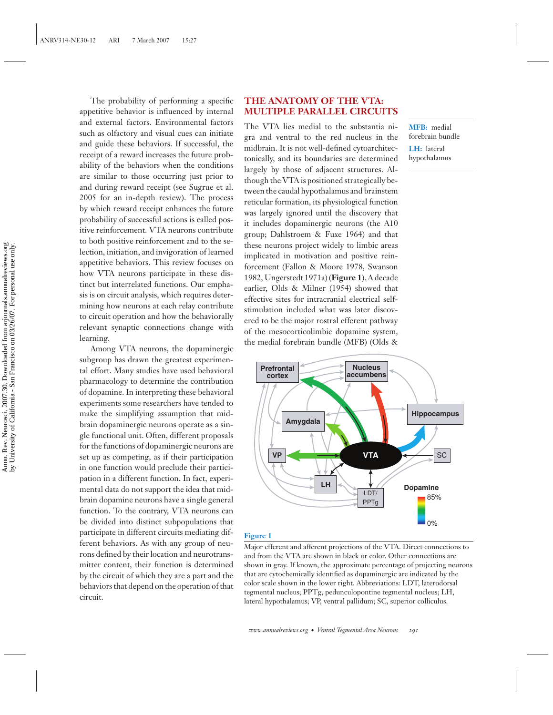The probability of performing a specific appetitive behavior is influenced by internal and external factors. Environmental factors such as olfactory and visual cues can initiate and guide these behaviors. If successful, the receipt of a reward increases the future probability of the behaviors when the conditions are similar to those occurring just prior to and during reward receipt (see Sugrue et al. 2005 for an in-depth review). The process by which reward receipt enhances the future probability of successful actions is called positive reinforcement. VTA neurons contribute to both positive reinforcement and to the selection, initiation, and invigoration of learned appetitive behaviors. This review focuses on how VTA neurons participate in these distinct but interrelated functions. Our emphasis is on circuit analysis, which requires determining how neurons at each relay contribute to circuit operation and how the behaviorally relevant synaptic connections change with learning.

Among VTA neurons, the dopaminergic subgroup has drawn the greatest experimental effort. Many studies have used behavioral pharmacology to determine the contribution of dopamine. In interpreting these behavioral experiments some researchers have tended to make the simplifying assumption that midbrain dopaminergic neurons operate as a single functional unit. Often, different proposals for the functions of dopaminergic neurons are set up as competing, as if their participation in one function would preclude their participation in a different function. In fact, experimental data do not support the idea that midbrain dopamine neurons have a single general function. To the contrary, VTA neurons can be divided into distinct subpopulations that participate in different circuits mediating different behaviors. As with any group of neurons defined by their location and neurotransmitter content, their function is determined by the circuit of which they are a part and the behaviors that depend on the operation of that circuit.

# **THE ANATOMY OF THE VTA: MULTIPLE PARALLEL CIRCUITS**

**MFB:** medial forebrain bundle **LH:** lateral hypothalamus

The VTA lies medial to the substantia nigra and ventral to the red nucleus in the midbrain. It is not well-defined cytoarchitectonically, and its boundaries are determined largely by those of adjacent structures. Although the VTA is positioned strategically between the caudal hypothalamus and brainstem reticular formation, its physiological function was largely ignored until the discovery that it includes dopaminergic neurons (the A10 group; Dahlstroem & Fuxe 1964) and that these neurons project widely to limbic areas implicated in motivation and positive reinforcement (Fallon & Moore 1978, Swanson 1982, Ungerstedt 1971a) (**Figure 1**). A decade earlier, Olds & Milner (1954) showed that effective sites for intracranial electrical selfstimulation included what was later discovered to be the major rostral efferent pathway of the mesocorticolimbic dopamine system, the medial forebrain bundle (MFB) (Olds &



#### **Figure 1**

Major efferent and afferent projections of the VTA. Direct connections to and from the VTA are shown in black or color. Other connections are shown in gray. If known, the approximate percentage of projecting neurons that are cytochemically identified as dopaminergic are indicated by the color scale shown in the lower right. Abbreviations: LDT, laterodorsal tegmental nucleus; PPTg, pedunculopontine tegmental nucleus; LH, lateral hypothalamus; VP, ventral pallidum; SC, superior colliculus.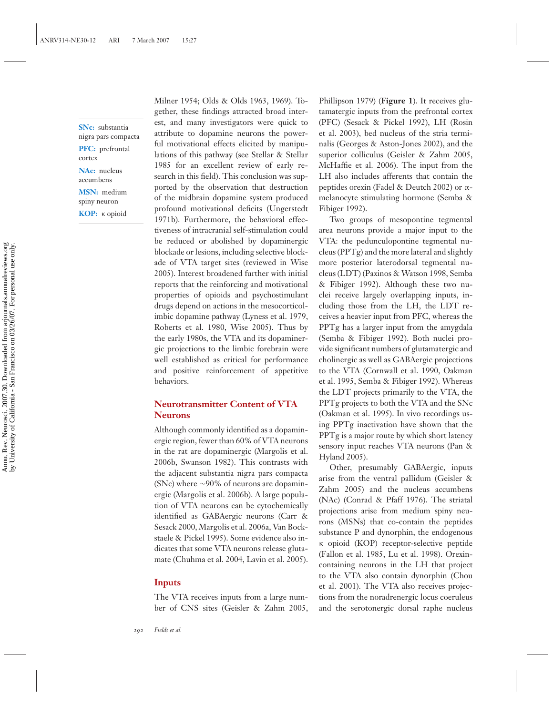**SNc:** substantia nigra pars compacta **PFC:** prefrontal cortex **NAc:** nucleus accumbens **MSN:** medium spiny neuron **KOP:** κ opioid

Milner 1954; Olds & Olds 1963, 1969). Together, these findings attracted broad interest, and many investigators were quick to attribute to dopamine neurons the powerful motivational effects elicited by manipulations of this pathway (see Stellar & Stellar 1985 for an excellent review of early research in this field). This conclusion was supported by the observation that destruction of the midbrain dopamine system produced profound motivational deficits (Ungerstedt 1971b). Furthermore, the behavioral effectiveness of intracranial self-stimulation could be reduced or abolished by dopaminergic blockade or lesions, including selective blockade of VTA target sites (reviewed in Wise 2005). Interest broadened further with initial reports that the reinforcing and motivational properties of opioids and psychostimulant drugs depend on actions in the mesocorticolimbic dopamine pathway (Lyness et al. 1979, Roberts et al. 1980, Wise 2005). Thus by the early 1980s, the VTA and its dopaminergic projections to the limbic forebrain were well established as critical for performance and positive reinforcement of appetitive behaviors.

## **Neurotransmitter Content of VTA Neurons**

Although commonly identified as a dopaminergic region, fewer than 60% of VTA neurons in the rat are dopaminergic (Margolis et al. 2006b, Swanson 1982). This contrasts with the adjacent substantia nigra pars compacta (SNc) where ∼90% of neurons are dopaminergic (Margolis et al. 2006b). A large population of VTA neurons can be cytochemically identified as GABAergic neurons (Carr & Sesack 2000, Margolis et al. 2006a, Van Bockstaele & Pickel 1995). Some evidence also indicates that some VTA neurons release glutamate (Chuhma et al. 2004, Lavin et al. 2005).

#### **Inputs**

The VTA receives inputs from a large number of CNS sites (Geisler & Zahm 2005, Phillipson 1979) (**Figure 1**). It receives glutamatergic inputs from the prefrontal cortex (PFC) (Sesack & Pickel 1992), LH (Rosin et al. 2003), bed nucleus of the stria terminalis (Georges & Aston-Jones 2002), and the superior colliculus (Geisler & Zahm 2005, McHaffie et al. 2006). The input from the LH also includes afferents that contain the peptides orexin (Fadel & Deutch 2002) or αmelanocyte stimulating hormone (Semba & Fibiger 1992).

Two groups of mesopontine tegmental area neurons provide a major input to the VTA: the pedunculopontine tegmental nucleus (PPTg) and the more lateral and slightly more posterior laterodorsal tegmental nucleus (LDT) (Paxinos & Watson 1998, Semba & Fibiger 1992). Although these two nuclei receive largely overlapping inputs, including those from the LH, the LDT receives a heavier input from PFC, whereas the PPTg has a larger input from the amygdala (Semba & Fibiger 1992). Both nuclei provide significant numbers of glutamatergic and cholinergic as well as GABAergic projections to the VTA (Cornwall et al. 1990, Oakman et al. 1995, Semba & Fibiger 1992). Whereas the LDT projects primarily to the VTA, the PPTg projects to both the VTA and the SNc (Oakman et al. 1995). In vivo recordings using PPTg inactivation have shown that the PPTg is a major route by which short latency sensory input reaches VTA neurons (Pan & Hyland 2005).

Other, presumably GABAergic, inputs arise from the ventral pallidum (Geisler & Zahm 2005) and the nucleus accumbens (NAc) (Conrad & Pfaff 1976). The striatal projections arise from medium spiny neurons (MSNs) that co-contain the peptides substance P and dynorphin, the endogenous κ opioid (KOP) receptor-selective peptide (Fallon et al. 1985, Lu et al. 1998). Orexincontaining neurons in the LH that project to the VTA also contain dynorphin (Chou et al. 2001). The VTA also receives projections from the noradrenergic locus coeruleus and the serotonergic dorsal raphe nucleus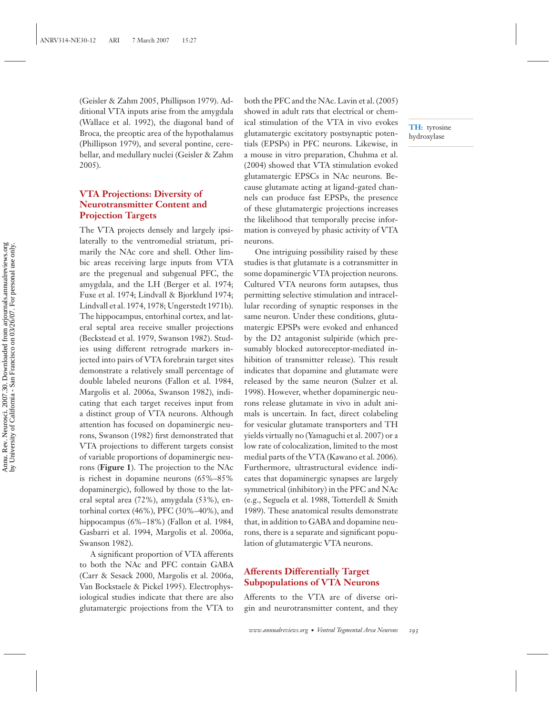(Geisler & Zahm 2005, Phillipson 1979). Additional VTA inputs arise from the amygdala (Wallace et al. 1992), the diagonal band of Broca, the preoptic area of the hypothalamus (Phillipson 1979), and several pontine, cerebellar, and medullary nuclei (Geisler & Zahm 2005).

### **VTA Projections: Diversity of Neurotransmitter Content and Projection Targets**

The VTA projects densely and largely ipsilaterally to the ventromedial striatum, primarily the NAc core and shell. Other limbic areas receiving large inputs from VTA are the pregenual and subgenual PFC, the amygdala, and the LH (Berger et al. 1974; Fuxe et al. 1974; Lindvall & Bjorklund 1974; Lindvall et al. 1974, 1978; Ungerstedt 1971b). The hippocampus, entorhinal cortex, and lateral septal area receive smaller projections (Beckstead et al. 1979, Swanson 1982). Studies using different retrograde markers injected into pairs of VTA forebrain target sites demonstrate a relatively small percentage of double labeled neurons (Fallon et al. 1984, Margolis et al. 2006a, Swanson 1982), indicating that each target receives input from a distinct group of VTA neurons. Although attention has focused on dopaminergic neurons, Swanson (1982) first demonstrated that VTA projections to different targets consist of variable proportions of dopaminergic neurons (**Figure 1**). The projection to the NAc is richest in dopamine neurons (65%–85% dopaminergic), followed by those to the lateral septal area (72%), amygdala (53%), entorhinal cortex (46%), PFC (30%–40%), and hippocampus (6%–18%) (Fallon et al. 1984, Gasbarri et al. 1994, Margolis et al. 2006a, Swanson 1982).

A significant proportion of VTA afferents to both the NAc and PFC contain GABA (Carr & Sesack 2000, Margolis et al. 2006a, Van Bockstaele & Pickel 1995). Electrophysiological studies indicate that there are also glutamatergic projections from the VTA to

both the PFC and the NAc. Lavin et al. (2005) showed in adult rats that electrical or chemical stimulation of the VTA in vivo evokes glutamatergic excitatory postsynaptic potentials (EPSPs) in PFC neurons. Likewise, in a mouse in vitro preparation, Chuhma et al. (2004) showed that VTA stimulation evoked glutamatergic EPSCs in NAc neurons. Because glutamate acting at ligand-gated channels can produce fast EPSPs, the presence of these glutamatergic projections increases the likelihood that temporally precise information is conveyed by phasic activity of VTA neurons.

One intriguing possibility raised by these studies is that glutamate is a cotransmitter in some dopaminergic VTA projection neurons. Cultured VTA neurons form autapses, thus permitting selective stimulation and intracellular recording of synaptic responses in the same neuron. Under these conditions, glutamatergic EPSPs were evoked and enhanced by the D2 antagonist sulpiride (which presumably blocked autoreceptor-mediated inhibition of transmitter release). This result indicates that dopamine and glutamate were released by the same neuron (Sulzer et al. 1998). However, whether dopaminergic neurons release glutamate in vivo in adult animals is uncertain. In fact, direct colabeling for vesicular glutamate transporters and TH yields virtually no (Yamaguchi et al. 2007) or a low rate of colocalization, limited to the most medial parts of the VTA (Kawano et al. 2006). Furthermore, ultrastructural evidence indicates that dopaminergic synapses are largely symmetrical (inhibitory) in the PFC and NAc (e.g., Seguela et al. 1988, Totterdell & Smith 1989). These anatomical results demonstrate that, in addition to GABA and dopamine neurons, there is a separate and significant population of glutamatergic VTA neurons.

# **Afferents Differentially Target Subpopulations of VTA Neurons**

Afferents to the VTA are of diverse origin and neurotransmitter content, and they **TH:** tyrosine hydroxylase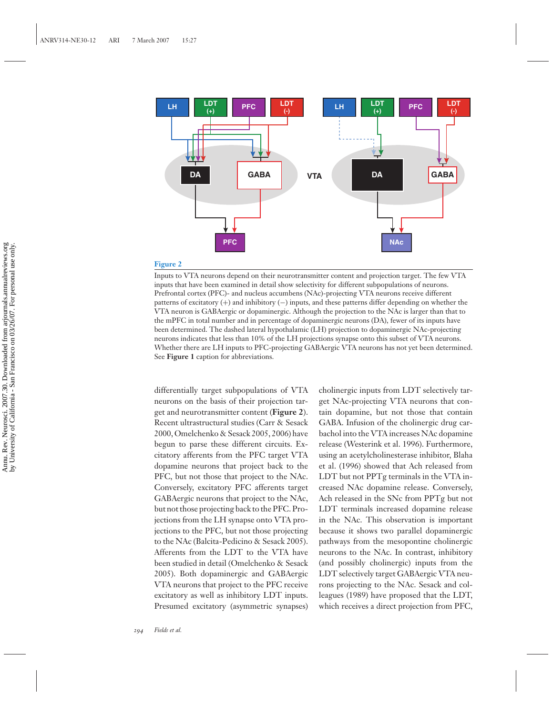

#### **Figure 2**



differentially target subpopulations of VTA neurons on the basis of their projection target and neurotransmitter content (**Figure 2**). Recent ultrastructural studies (Carr & Sesack 2000, Omelchenko & Sesack 2005, 2006) have begun to parse these different circuits. Excitatory afferents from the PFC target VTA dopamine neurons that project back to the PFC, but not those that project to the NAc. Conversely, excitatory PFC afferents target GABAergic neurons that project to the NAc, but not those projecting back to the PFC. Projections from the LH synapse onto VTA projections to the PFC, but not those projecting to the NAc (Balcita-Pedicino & Sesack 2005). Afferents from the LDT to the VTA have been studied in detail (Omelchenko & Sesack 2005). Both dopaminergic and GABAergic VTA neurons that project to the PFC receive excitatory as well as inhibitory LDT inputs. Presumed excitatory (asymmetric synapses)

get NAc-projecting VTA neurons that contain dopamine, but not those that contain GABA. Infusion of the cholinergic drug carbachol into the VTA increases NAc dopamine release (Westerink et al. 1996). Furthermore, using an acetylcholinesterase inhibitor, Blaha et al. (1996) showed that Ach released from LDT but not PPTg terminals in the VTA increased NAc dopamine release. Conversely, Ach released in the SNc from PPTg but not LDT terminals increased dopamine release in the NAc. This observation is important because it shows two parallel dopaminergic pathways from the mesopontine cholinergic neurons to the NAc. In contrast, inhibitory (and possibly cholinergic) inputs from the LDT selectively target GABAergic VTA neurons projecting to the NAc. Sesack and colleagues (1989) have proposed that the LDT, which receives a direct projection from PFC,

cholinergic inputs from LDT selectively tar-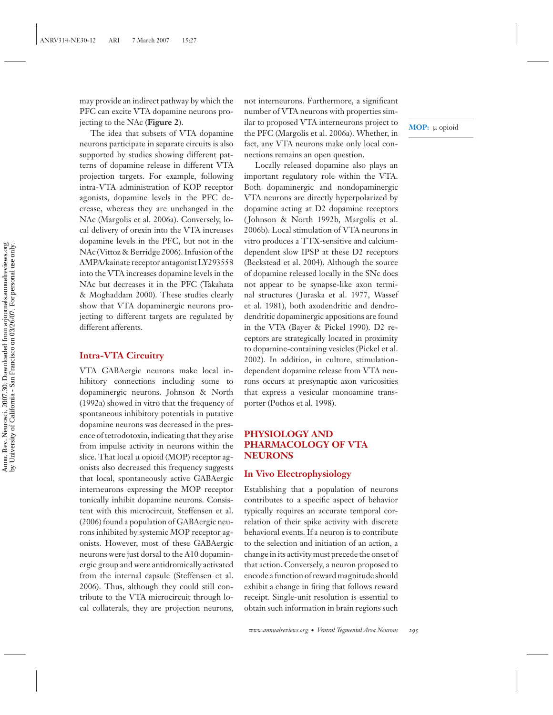may provide an indirect pathway by which the PFC can excite VTA dopamine neurons projecting to the NAc (**Figure 2**).

The idea that subsets of VTA dopamine neurons participate in separate circuits is also supported by studies showing different patterns of dopamine release in different VTA projection targets. For example, following intra-VTA administration of KOP receptor agonists, dopamine levels in the PFC decrease, whereas they are unchanged in the NAc (Margolis et al. 2006a). Conversely, local delivery of orexin into the VTA increases dopamine levels in the PFC, but not in the NAc (Vittoz & Berridge 2006). Infusion of the AMPA/kainate receptor antagonist LY293558 into the VTA increases dopamine levels in the NAc but decreases it in the PFC (Takahata & Moghaddam 2000). These studies clearly show that VTA dopaminergic neurons projecting to different targets are regulated by different afferents.

#### **Intra-VTA Circuitry**

VTA GABAergic neurons make local inhibitory connections including some to dopaminergic neurons. Johnson & North (1992a) showed in vitro that the frequency of spontaneous inhibitory potentials in putative dopamine neurons was decreased in the presence of tetrodotoxin, indicating that they arise from impulse activity in neurons within the slice. That local  $\mu$  opioid (MOP) receptor agonists also decreased this frequency suggests that local, spontaneously active GABAergic interneurons expressing the MOP receptor tonically inhibit dopamine neurons. Consistent with this microcircuit, Steffensen et al. (2006) found a population of GABAergic neurons inhibited by systemic MOP receptor agonists. However, most of these GABAergic neurons were just dorsal to the A10 dopaminergic group and were antidromically activated from the internal capsule (Steffensen et al. 2006). Thus, although they could still contribute to the VTA microcircuit through local collaterals, they are projection neurons,

not interneurons. Furthermore, a significant number of VTA neurons with properties similar to proposed VTA interneurons project to the PFC (Margolis et al. 2006a). Whether, in fact, any VTA neurons make only local connections remains an open question.

Locally released dopamine also plays an important regulatory role within the VTA. Both dopaminergic and nondopaminergic VTA neurons are directly hyperpolarized by dopamine acting at D2 dopamine receptors ( Johnson & North 1992b, Margolis et al. 2006b). Local stimulation of VTA neurons in vitro produces a TTX-sensitive and calciumdependent slow IPSP at these D2 receptors (Beckstead et al. 2004). Although the source of dopamine released locally in the SNc does not appear to be synapse-like axon terminal structures ( Juraska et al. 1977, Wassef et al. 1981), both axodendritic and dendrodendritic dopaminergic appositions are found in the VTA (Bayer & Pickel 1990). D2 receptors are strategically located in proximity to dopamine-containing vesicles (Pickel et al. 2002). In addition, in culture, stimulationdependent dopamine release from VTA neurons occurs at presynaptic axon varicosities that express a vesicular monoamine transporter (Pothos et al. 1998).

# **PHYSIOLOGY AND PHARMACOLOGY OF VTA NEURONS**

#### **In Vivo Electrophysiology**

Establishing that a population of neurons contributes to a specific aspect of behavior typically requires an accurate temporal correlation of their spike activity with discrete behavioral events. If a neuron is to contribute to the selection and initiation of an action, a change in its activity must precede the onset of that action. Conversely, a neuron proposed to encode a function of reward magnitude should exhibit a change in firing that follows reward receipt. Single-unit resolution is essential to obtain such information in brain regions such **MOP:** μ opioid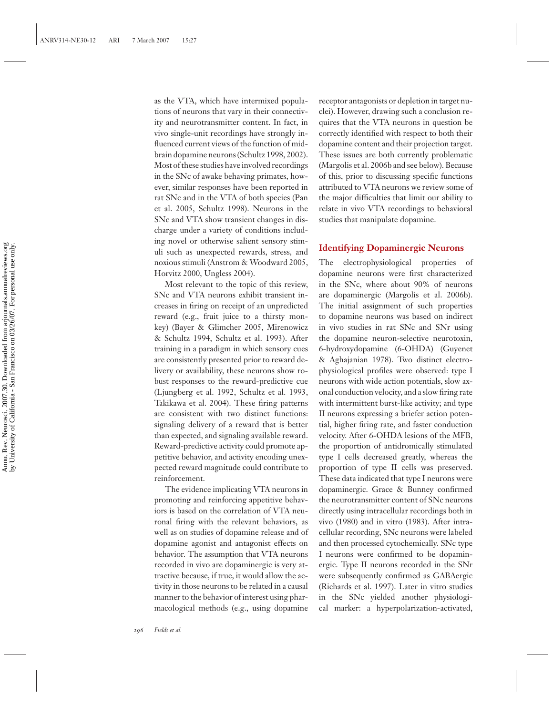as the VTA, which have intermixed populations of neurons that vary in their connectivity and neurotransmitter content. In fact, in vivo single-unit recordings have strongly influenced current views of the function of midbrain dopamine neurons (Schultz 1998, 2002). Most of these studies have involved recordings in the SNc of awake behaving primates, however, similar responses have been reported in rat SNc and in the VTA of both species (Pan et al. 2005, Schultz 1998). Neurons in the SNc and VTA show transient changes in discharge under a variety of conditions including novel or otherwise salient sensory stimuli such as unexpected rewards, stress, and noxious stimuli (Anstrom & Woodward 2005, Horvitz 2000, Ungless 2004).

Most relevant to the topic of this review, SNc and VTA neurons exhibit transient increases in firing on receipt of an unpredicted reward (e.g., fruit juice to a thirsty monkey) (Bayer & Glimcher 2005, Mirenowicz & Schultz 1994, Schultz et al. 1993). After training in a paradigm in which sensory cues are consistently presented prior to reward delivery or availability, these neurons show robust responses to the reward-predictive cue (Ljungberg et al. 1992, Schultz et al. 1993, Takikawa et al. 2004). These firing patterns are consistent with two distinct functions: signaling delivery of a reward that is better than expected, and signaling available reward. Reward-predictive activity could promote appetitive behavior, and activity encoding unexpected reward magnitude could contribute to reinforcement.

The evidence implicating VTA neurons in promoting and reinforcing appetitive behaviors is based on the correlation of VTA neuronal firing with the relevant behaviors, as well as on studies of dopamine release and of dopamine agonist and antagonist effects on behavior. The assumption that VTA neurons recorded in vivo are dopaminergic is very attractive because, if true, it would allow the activity in those neurons to be related in a causal manner to the behavior of interest using pharmacological methods (e.g., using dopamine receptor antagonists or depletion in target nuclei). However, drawing such a conclusion requires that the VTA neurons in question be correctly identified with respect to both their dopamine content and their projection target. These issues are both currently problematic (Margolis et al. 2006b and see below). Because of this, prior to discussing specific functions attributed to VTA neurons we review some of the major difficulties that limit our ability to relate in vivo VTA recordings to behavioral studies that manipulate dopamine.

## **Identifying Dopaminergic Neurons**

The electrophysiological properties of dopamine neurons were first characterized in the SNc, where about 90% of neurons are dopaminergic (Margolis et al. 2006b). The initial assignment of such properties to dopamine neurons was based on indirect in vivo studies in rat SNc and SNr using the dopamine neuron-selective neurotoxin, 6-hydroxydopamine (6-OHDA) (Guyenet & Aghajanian 1978). Two distinct electrophysiological profiles were observed: type I neurons with wide action potentials, slow axonal conduction velocity, and a slow firing rate with intermittent burst-like activity; and type II neurons expressing a briefer action potential, higher firing rate, and faster conduction velocity. After 6-OHDA lesions of the MFB, the proportion of antidromically stimulated type I cells decreased greatly, whereas the proportion of type II cells was preserved. These data indicated that type I neurons were dopaminergic. Grace & Bunney confirmed the neurotransmitter content of SNc neurons directly using intracellular recordings both in vivo (1980) and in vitro (1983). After intracellular recording, SNc neurons were labeled and then processed cytochemically. SNc type I neurons were confirmed to be dopaminergic. Type II neurons recorded in the SNr were subsequently confirmed as GABAergic (Richards et al. 1997). Later in vitro studies in the SNc yielded another physiological marker: a hyperpolarization-activated,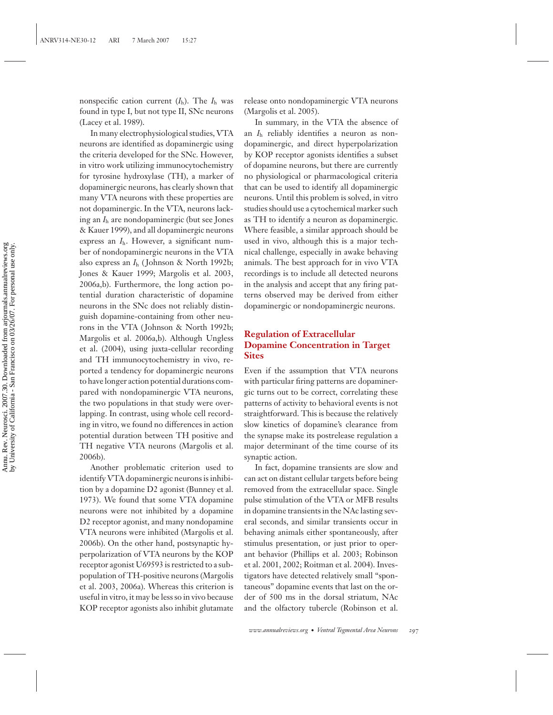nonspecific cation current (*I*h). The *I*<sup>h</sup> was found in type I, but not type II, SNc neurons (Lacey et al. 1989).

In many electrophysiological studies, VTA neurons are identified as dopaminergic using the criteria developed for the SNc. However, in vitro work utilizing immunocytochemistry for tyrosine hydroxylase (TH), a marker of dopaminergic neurons, has clearly shown that many VTA neurons with these properties are not dopaminergic. In the VTA, neurons lacking an *I*<sup>h</sup> are nondopaminergic (but see Jones & Kauer 1999), and all dopaminergic neurons express an *I*h. However, a significant number of nondopaminergic neurons in the VTA also express an *I*<sup>h</sup> ( Johnson & North 1992b; Jones & Kauer 1999; Margolis et al. 2003, 2006a,b). Furthermore, the long action potential duration characteristic of dopamine neurons in the SNc does not reliably distinguish dopamine-containing from other neurons in the VTA (Johnson & North 1992b; Margolis et al. 2006a,b). Although Ungless et al. (2004), using juxta-cellular recording and TH immunocytochemistry in vivo, reported a tendency for dopaminergic neurons to have longer action potential durations compared with nondopaminergic VTA neurons, the two populations in that study were overlapping. In contrast, using whole cell recording in vitro, we found no differences in action potential duration between TH positive and TH negative VTA neurons (Margolis et al. 2006b).

Another problematic criterion used to identify VTA dopaminergic neurons is inhibition by a dopamine D2 agonist (Bunney et al. 1973). We found that some VTA dopamine neurons were not inhibited by a dopamine D2 receptor agonist, and many nondopamine VTA neurons were inhibited (Margolis et al. 2006b). On the other hand, postsynaptic hyperpolarization of VTA neurons by the KOP receptor agonist U69593 is restricted to a subpopulation of TH-positive neurons (Margolis et al. 2003, 2006a). Whereas this criterion is useful in vitro, it may be less so in vivo because KOP receptor agonists also inhibit glutamate

release onto nondopaminergic VTA neurons (Margolis et al. 2005).

In summary, in the VTA the absence of an *I*<sup>h</sup> reliably identifies a neuron as nondopaminergic, and direct hyperpolarization by KOP receptor agonists identifies a subset of dopamine neurons, but there are currently no physiological or pharmacological criteria that can be used to identify all dopaminergic neurons. Until this problem is solved, in vitro studies should use a cytochemical marker such as TH to identify a neuron as dopaminergic. Where feasible, a similar approach should be used in vivo, although this is a major technical challenge, especially in awake behaving animals. The best approach for in vivo VTA recordings is to include all detected neurons in the analysis and accept that any firing patterns observed may be derived from either dopaminergic or nondopaminergic neurons.

# **Regulation of Extracellular Dopamine Concentration in Target Sites**

Even if the assumption that VTA neurons with particular firing patterns are dopaminergic turns out to be correct, correlating these patterns of activity to behavioral events is not straightforward. This is because the relatively slow kinetics of dopamine's clearance from the synapse make its postrelease regulation a major determinant of the time course of its synaptic action.

In fact, dopamine transients are slow and can act on distant cellular targets before being removed from the extracellular space. Single pulse stimulation of the VTA or MFB results in dopamine transients in the NAc lasting several seconds, and similar transients occur in behaving animals either spontaneously, after stimulus presentation, or just prior to operant behavior (Phillips et al. 2003; Robinson et al. 2001, 2002; Roitman et al. 2004). Investigators have detected relatively small "spontaneous" dopamine events that last on the order of 500 ms in the dorsal striatum, NAc and the olfactory tubercle (Robinson et al.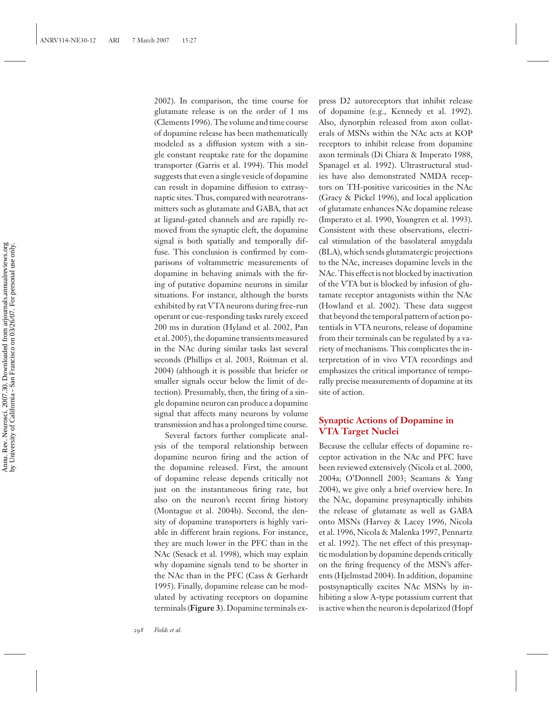2002). In comparison, the time course for glutamate release is on the order of 1 ms (Clements 1996). The volume and time course of dopamine release has been mathematically modeled as a diffusion system with a single constant reuptake rate for the dopamine transporter (Garris et al. 1994). This model suggests that even a single vesicle of dopamine can result in dopamine diffusion to extrasynaptic sites. Thus, compared with neurotransmitters such as glutamate and GABA, that act at ligand-gated channels and are rapidly removed from the synaptic cleft, the dopamine signal is both spatially and temporally diffuse. This conclusion is confirmed by comparisons of voltammetric measurements of dopamine in behaving animals with the firing of putative dopamine neurons in similar situations. For instance, although the bursts exhibited by rat VTA neurons during free-run operant or cue-responding tasks rarely exceed 200 ms in duration (Hyland et al. 2002, Pan et al. 2005), the dopamine transients measured in the NAc during similar tasks last several seconds (Phillips et al. 2003, Roitman et al. 2004) (although it is possible that briefer or smaller signals occur below the limit of detection). Presumably, then, the firing of a single dopamine neuron can produce a dopamine signal that affects many neurons by volume transmission and has a prolonged time course.

Several factors further complicate analysis of the temporal relationship between dopamine neuron firing and the action of the dopamine released. First, the amount of dopamine release depends critically not just on the instantaneous firing rate, but also on the neuron's recent firing history (Montague et al. 2004b). Second, the density of dopamine transporters is highly variable in different brain regions. For instance, they are much lower in the PFC than in the NAc (Sesack et al. 1998), which may explain why dopamine signals tend to be shorter in the NAc than in the PFC (Cass & Gerhardt 1995). Finally, dopamine release can be modulated by activating receptors on dopamine terminals (**Figure 3**). Dopamine terminals express D2 autoreceptors that inhibit release of dopamine (e.g., Kennedy et al. 1992). Also, dynorphin released from axon collaterals of MSNs within the NAc acts at KOP receptors to inhibit release from dopamine axon terminals (Di Chiara & Imperato 1988, Spanagel et al. 1992). Ultrastructural studies have also demonstrated NMDA receptors on TH-positive varicosities in the NAc (Gracy & Pickel 1996), and local application of glutamate enhances NAc dopamine release (Imperato et al. 1990, Youngren et al. 1993). Consistent with these observations, electrical stimulation of the basolateral amygdala (BLA), which sends glutamatergic projections to the NAc, increases dopamine levels in the NAc. This effect is not blocked by inactivation of the VTA but is blocked by infusion of glutamate receptor antagonists within the NAc (Howland et al. 2002). These data suggest that beyond the temporal pattern of action potentials in VTA neurons, release of dopamine from their terminals can be regulated by a variety of mechanisms. This complicates the interpretation of in vivo VTA recordings and emphasizes the critical importance of temporally precise measurements of dopamine at its site of action.

# **Synaptic Actions of Dopamine in VTA Target Nuclei**

Because the cellular effects of dopamine receptor activation in the NAc and PFC have been reviewed extensively (Nicola et al. 2000, 2004a; O'Donnell 2003; Seamans & Yang 2004), we give only a brief overview here. In the NAc, dopamine presynaptically inhibits the release of glutamate as well as GABA onto MSNs (Harvey & Lacey 1996, Nicola et al. 1996, Nicola & Malenka 1997, Pennartz et al. 1992). The net effect of this presynaptic modulation by dopamine depends critically on the firing frequency of the MSN's afferents (Hjelmstad 2004). In addition, dopamine postsynaptically excites NAc MSNs by inhibiting a slow A-type potassium current that is active when the neuron is depolarized (Hopf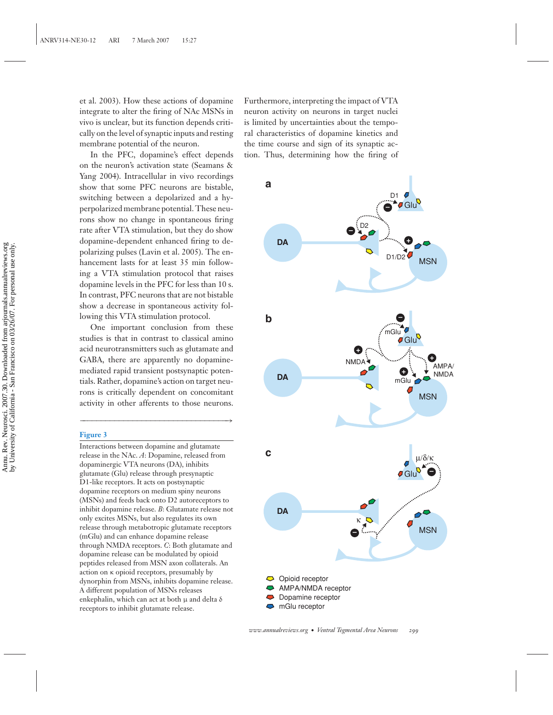et al. 2003). How these actions of dopamine integrate to alter the firing of NAc MSNs in vivo is unclear, but its function depends critically on the level of synaptic inputs and resting membrane potential of the neuron.

In the PFC, dopamine's effect depends on the neuron's activation state (Seamans & Yang 2004). Intracellular in vivo recordings show that some PFC neurons are bistable, switching between a depolarized and a hyperpolarized membrane potential. These neurons show no change in spontaneous firing rate after VTA stimulation, but they do show dopamine-dependent enhanced firing to depolarizing pulses (Lavin et al. 2005). The enhancement lasts for at least 35 min following a VTA stimulation protocol that raises dopamine levels in the PFC for less than 10 s. In contrast, PFC neurons that are not bistable show a decrease in spontaneous activity following this VTA stimulation protocol.

One important conclusion from these studies is that in contrast to classical amino acid neurotransmitters such as glutamate and GABA, there are apparently no dopaminemediated rapid transient postsynaptic potentials. Rather, dopamine's action on target neurons is critically dependent on concomitant activity in other afferents to those neurons.

−−−−−−−−−−−−−−−−−−−−−−−−−−−−−−−−−→

#### **Figure 3**

Interactions between dopamine and glutamate release in the NAc. *A*: Dopamine, released from dopaminergic VTA neurons (DA), inhibits glutamate (Glu) release through presynaptic D1-like receptors. It acts on postsynaptic dopamine receptors on medium spiny neurons (MSNs) and feeds back onto D2 autoreceptors to inhibit dopamine release. *B*: Glutamate release not only excites MSNs, but also regulates its own release through metabotropic glutamate receptors (mGlu) and can enhance dopamine release through NMDA receptors. *C*: Both glutamate and dopamine release can be modulated by opioid peptides released from MSN axon collaterals. An action on κ opioid receptors, presumably by dynorphin from MSNs, inhibits dopamine release. A different population of MSNs releases enkephalin, which can act at both μ and delta δ receptors to inhibit glutamate release.

Furthermore, interpreting the impact of VTA neuron activity on neurons in target nuclei is limited by uncertainties about the temporal characteristics of dopamine kinetics and the time course and sign of its synaptic action. Thus, determining how the firing of



*www.annualreviews.org* • *Ventral Tegmental Area Neurons 299*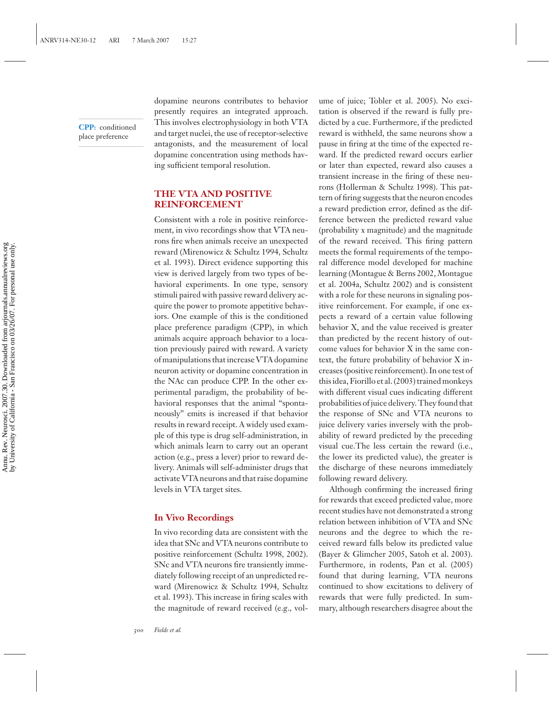**CPP:** conditioned place preference

dopamine neurons contributes to behavior presently requires an integrated approach. This involves electrophysiology in both VTA and target nuclei, the use of receptor-selective antagonists, and the measurement of local dopamine concentration using methods having sufficient temporal resolution.

# **THE VTA AND POSITIVE REINFORCEMENT**

Consistent with a role in positive reinforcement, in vivo recordings show that VTA neurons fire when animals receive an unexpected reward (Mirenowicz & Schultz 1994, Schultz et al. 1993). Direct evidence supporting this view is derived largely from two types of behavioral experiments. In one type, sensory stimuli paired with passive reward delivery acquire the power to promote appetitive behaviors. One example of this is the conditioned place preference paradigm (CPP), in which animals acquire approach behavior to a location previously paired with reward. A variety of manipulations that increase VTA dopamine neuron activity or dopamine concentration in the NAc can produce CPP. In the other experimental paradigm, the probability of behavioral responses that the animal "spontaneously" emits is increased if that behavior results in reward receipt. A widely used example of this type is drug self-administration, in which animals learn to carry out an operant action (e.g., press a lever) prior to reward delivery. Animals will self-administer drugs that activate VTA neurons and that raise dopamine levels in VTA target sites.

#### **In Vivo Recordings**

In vivo recording data are consistent with the idea that SNc and VTA neurons contribute to positive reinforcement (Schultz 1998, 2002). SNc and VTA neurons fire transiently immediately following receipt of an unpredicted reward (Mirenowicz & Schultz 1994, Schultz et al. 1993). This increase in firing scales with the magnitude of reward received (e.g., volume of juice; Tobler et al. 2005). No excitation is observed if the reward is fully predicted by a cue. Furthermore, if the predicted reward is withheld, the same neurons show a pause in firing at the time of the expected reward. If the predicted reward occurs earlier or later than expected, reward also causes a transient increase in the firing of these neurons (Hollerman & Schultz 1998). This pattern of firing suggests that the neuron encodes a reward prediction error, defined as the difference between the predicted reward value (probability x magnitude) and the magnitude of the reward received. This firing pattern meets the formal requirements of the temporal difference model developed for machine learning (Montague & Berns 2002, Montague et al. 2004a, Schultz 2002) and is consistent with a role for these neurons in signaling positive reinforcement. For example, if one expects a reward of a certain value following behavior X, and the value received is greater than predicted by the recent history of outcome values for behavior X in the same context, the future probability of behavior X increases (positive reinforcement). In one test of this idea, Fiorillo et al. (2003) trained monkeys with different visual cues indicating different probabilities of juice delivery. They found that the response of SNc and VTA neurons to juice delivery varies inversely with the probability of reward predicted by the preceding visual cue.The less certain the reward (i.e., the lower its predicted value), the greater is the discharge of these neurons immediately following reward delivery.

Although confirming the increased firing for rewards that exceed predicted value, more recent studies have not demonstrated a strong relation between inhibition of VTA and SNc neurons and the degree to which the received reward falls below its predicted value (Bayer & Glimcher 2005, Satoh et al. 2003). Furthermore, in rodents, Pan et al. (2005) found that during learning, VTA neurons continued to show excitations to delivery of rewards that were fully predicted. In summary, although researchers disagree about the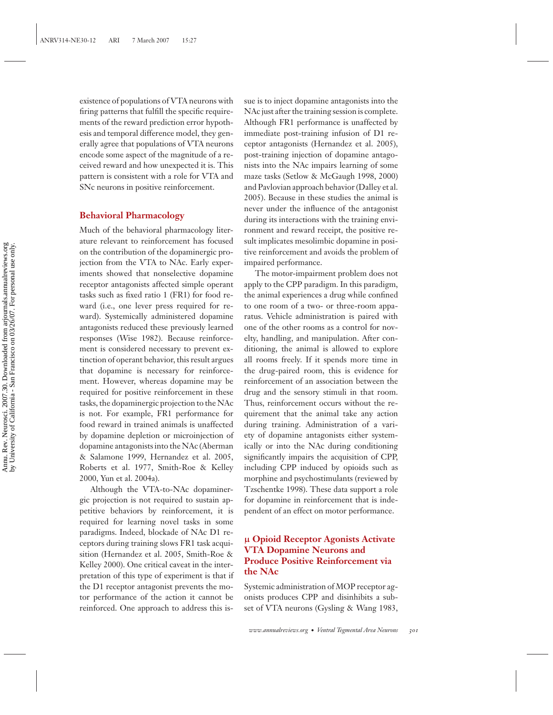existence of populations of VTA neurons with firing patterns that fulfill the specific requirements of the reward prediction error hypothesis and temporal difference model, they generally agree that populations of VTA neurons encode some aspect of the magnitude of a received reward and how unexpected it is. This pattern is consistent with a role for VTA and SNc neurons in positive reinforcement.

#### **Behavioral Pharmacology**

Much of the behavioral pharmacology literature relevant to reinforcement has focused on the contribution of the dopaminergic projection from the VTA to NAc. Early experiments showed that nonselective dopamine receptor antagonists affected simple operant tasks such as fixed ratio 1 (FR1) for food reward (i.e., one lever press required for reward). Systemically administered dopamine antagonists reduced these previously learned responses (Wise 1982). Because reinforcement is considered necessary to prevent extinction of operant behavior, this result argues that dopamine is necessary for reinforcement. However, whereas dopamine may be required for positive reinforcement in these tasks, the dopaminergic projection to the NAc is not. For example, FR1 performance for food reward in trained animals is unaffected by dopamine depletion or microinjection of dopamine antagonists into the NAc (Aberman & Salamone 1999, Hernandez et al. 2005, Roberts et al. 1977, Smith-Roe & Kelley 2000, Yun et al. 2004a).

Although the VTA-to-NAc dopaminergic projection is not required to sustain appetitive behaviors by reinforcement, it is required for learning novel tasks in some paradigms. Indeed, blockade of NAc D1 receptors during training slows FR1 task acquisition (Hernandez et al. 2005, Smith-Roe & Kelley 2000). One critical caveat in the interpretation of this type of experiment is that if the D1 receptor antagonist prevents the motor performance of the action it cannot be reinforced. One approach to address this issue is to inject dopamine antagonists into the NAc just after the training session is complete. Although FR1 performance is unaffected by immediate post-training infusion of D1 receptor antagonists (Hernandez et al. 2005), post-training injection of dopamine antagonists into the NAc impairs learning of some maze tasks (Setlow & McGaugh 1998, 2000) and Pavlovian approach behavior (Dalley et al. 2005). Because in these studies the animal is never under the influence of the antagonist during its interactions with the training environment and reward receipt, the positive result implicates mesolimbic dopamine in positive reinforcement and avoids the problem of impaired performance.

The motor-impairment problem does not apply to the CPP paradigm. In this paradigm, the animal experiences a drug while confined to one room of a two- or three-room apparatus. Vehicle administration is paired with one of the other rooms as a control for novelty, handling, and manipulation. After conditioning, the animal is allowed to explore all rooms freely. If it spends more time in the drug-paired room, this is evidence for reinforcement of an association between the drug and the sensory stimuli in that room. Thus, reinforcement occurs without the requirement that the animal take any action during training. Administration of a variety of dopamine antagonists either systemically or into the NAc during conditioning significantly impairs the acquisition of CPP, including CPP induced by opioids such as morphine and psychostimulants (reviewed by Tzschentke 1998). These data support a role for dopamine in reinforcement that is independent of an effect on motor performance.

# **μ Opioid Receptor Agonists Activate VTA Dopamine Neurons and Produce Positive Reinforcement via the NAc**

Systemic administration of MOP receptor agonists produces CPP and disinhibits a subset of VTA neurons (Gysling & Wang 1983,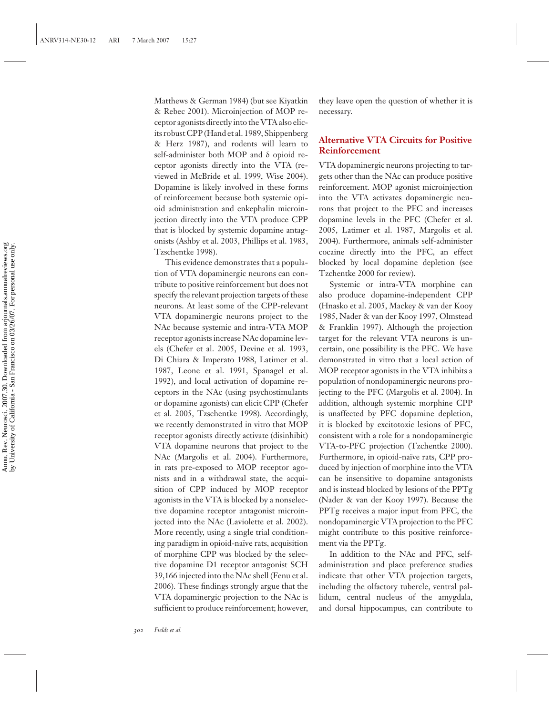Matthews & German 1984) (but see Kiyatkin & Rebec 2001). Microinjection of MOP receptor agonists directly into the VTA also elicits robust CPP (Hand et al. 1989, Shippenberg & Herz 1987), and rodents will learn to self-administer both MOP and δ opioid receptor agonists directly into the VTA (reviewed in McBride et al. 1999, Wise 2004). Dopamine is likely involved in these forms of reinforcement because both systemic opioid administration and enkephalin microinjection directly into the VTA produce CPP that is blocked by systemic dopamine antagonists (Ashby et al. 2003, Phillips et al. 1983, Tzschentke 1998).

This evidence demonstrates that a population of VTA dopaminergic neurons can contribute to positive reinforcement but does not specify the relevant projection targets of these neurons. At least some of the CPP-relevant VTA dopaminergic neurons project to the NAc because systemic and intra-VTA MOP receptor agonists increase NAc dopamine levels (Chefer et al. 2005, Devine et al. 1993, Di Chiara & Imperato 1988, Latimer et al. 1987, Leone et al. 1991, Spanagel et al. 1992), and local activation of dopamine receptors in the NAc (using psychostimulants or dopamine agonists) can elicit CPP (Chefer et al. 2005, Tzschentke 1998). Accordingly, we recently demonstrated in vitro that MOP receptor agonists directly activate (disinhibit) VTA dopamine neurons that project to the NAc (Margolis et al. 2004). Furthermore, in rats pre-exposed to MOP receptor agonists and in a withdrawal state, the acquisition of CPP induced by MOP receptor agonists in the VTA is blocked by a nonselective dopamine receptor antagonist microinjected into the NAc (Laviolette et al. 2002). More recently, using a single trial conditioning paradigm in opioid-naïve rats, acquisition of morphine CPP was blocked by the selective dopamine D1 receptor antagonist SCH 39,166 injected into the NAc shell (Fenu et al. 2006). These findings strongly argue that the VTA dopaminergic projection to the NAc is sufficient to produce reinforcement; however,

they leave open the question of whether it is necessary.

## **Alternative VTA Circuits for Positive Reinforcement**

VTA dopaminergic neurons projecting to targets other than the NAc can produce positive reinforcement. MOP agonist microinjection into the VTA activates dopaminergic neurons that project to the PFC and increases dopamine levels in the PFC (Chefer et al. 2005, Latimer et al. 1987, Margolis et al. 2004). Furthermore, animals self-administer cocaine directly into the PFC, an effect blocked by local dopamine depletion (see Tzchentke 2000 for review).

Systemic or intra-VTA morphine can also produce dopamine-independent CPP (Hnasko et al. 2005, Mackey & van der Kooy 1985, Nader & van der Kooy 1997, Olmstead & Franklin 1997). Although the projection target for the relevant VTA neurons is uncertain, one possibility is the PFC. We have demonstrated in vitro that a local action of MOP receptor agonists in the VTA inhibits a population of nondopaminergic neurons projecting to the PFC (Margolis et al. 2004). In addition, although systemic morphine CPP is unaffected by PFC dopamine depletion, it is blocked by excitotoxic lesions of PFC, consistent with a role for a nondopaminergic VTA-to-PFC projection (Tzchentke 2000). Furthermore, in opioid-naïve rats, CPP produced by injection of morphine into the VTA can be insensitive to dopamine antagonists and is instead blocked by lesions of the PPTg (Nader & van der Kooy 1997). Because the PPTg receives a major input from PFC, the nondopaminergic VTA projection to the PFC might contribute to this positive reinforcement via the PPTg.

In addition to the NAc and PFC, selfadministration and place preference studies indicate that other VTA projection targets, including the olfactory tubercle, ventral pallidum, central nucleus of the amygdala, and dorsal hippocampus, can contribute to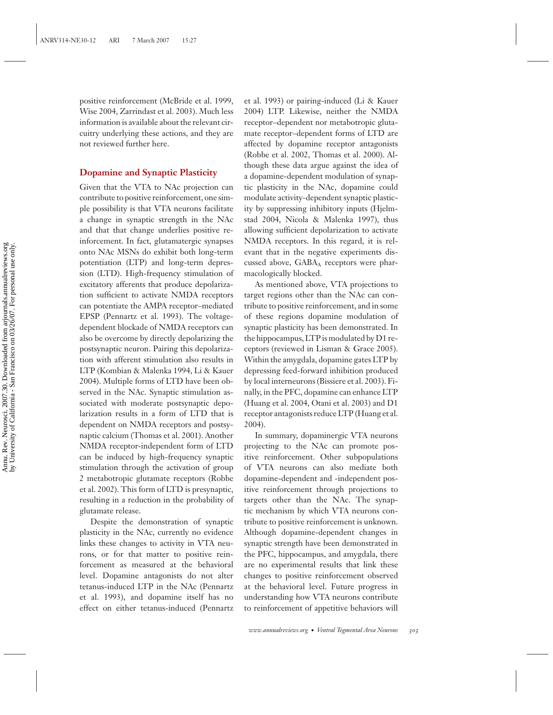positive reinforcement (McBride et al. 1999, Wise 2004, Zarrindast et al. 2003). Much less information is available about the relevant circuitry underlying these actions, and they are not reviewed further here.

#### **Dopamine and Synaptic Plasticity**

Given that the VTA to NAc projection can contribute to positive reinforcement, one simple possibility is that VTA neurons facilitate a change in synaptic strength in the NAc and that that change underlies positive reinforcement. In fact, glutamatergic synapses onto NAc MSNs do exhibit both long-term potentiation (LTP) and long-term depression (LTD). High-frequency stimulation of excitatory afferents that produce depolarization sufficient to activate NMDA receptors can potentiate the AMPA receptor–mediated EPSP (Pennartz et al. 1993). The voltagedependent blockade of NMDA receptors can also be overcome by directly depolarizing the postsynaptic neuron. Pairing this depolarization with afferent stimulation also results in LTP (Kombian & Malenka 1994, Li & Kauer 2004). Multiple forms of LTD have been observed in the NAc. Synaptic stimulation associated with moderate postsynaptic depolarization results in a form of LTD that is dependent on NMDA receptors and postsynaptic calcium (Thomas et al. 2001). Another NMDA receptor-independent form of LTD can be induced by high-frequency synaptic stimulation through the activation of group 2 metabotropic glutamate receptors (Robbe et al. 2002). This form of LTD is presynaptic, resulting in a reduction in the probability of glutamate release.

Despite the demonstration of synaptic plasticity in the NAc, currently no evidence links these changes to activity in VTA neurons, or for that matter to positive reinforcement as measured at the behavioral level. Dopamine antagonists do not alter tetanus-induced LTP in the NAc (Pennartz et al. 1993), and dopamine itself has no effect on either tetanus-induced (Pennartz

et al. 1993) or pairing-induced (Li & Kauer 2004) LTP. Likewise, neither the NMDA receptor–dependent nor metabotropic glutamate receptor–dependent forms of LTD are affected by dopamine receptor antagonists (Robbe et al. 2002, Thomas et al. 2000). Although these data argue against the idea of a dopamine-dependent modulation of synaptic plasticity in the NAc, dopamine could modulate activity-dependent synaptic plasticity by suppressing inhibitory inputs (Hjelmstad 2004, Nicola & Malenka 1997), thus allowing sufficient depolarization to activate NMDA receptors. In this regard, it is relevant that in the negative experiments discussed above, GABAA receptors were pharmacologically blocked.

As mentioned above, VTA projections to target regions other than the NAc can contribute to positive reinforcement, and in some of these regions dopamine modulation of synaptic plasticity has been demonstrated. In the hippocampus, LTP is modulated by D1 receptors (reviewed in Lisman & Grace 2005). Within the amygdala, dopamine gates LTP by depressing feed-forward inhibition produced by local interneurons (Bissiere et al. 2003). Finally, in the PFC, dopamine can enhance LTP (Huang et al. 2004, Otani et al. 2003) and D1 receptor antagonists reduce LTP (Huang et al. 2004).

In summary, dopaminergic VTA neurons projecting to the NAc can promote positive reinforcement. Other subpopulations of VTA neurons can also mediate both dopamine-dependent and -independent positive reinforcement through projections to targets other than the NAc. The synaptic mechanism by which VTA neurons contribute to positive reinforcement is unknown. Although dopamine-dependent changes in synaptic strength have been demonstrated in the PFC, hippocampus, and amygdala, there are no experimental results that link these changes to positive reinforcement observed at the behavioral level. Future progress in understanding how VTA neurons contribute to reinforcement of appetitive behaviors will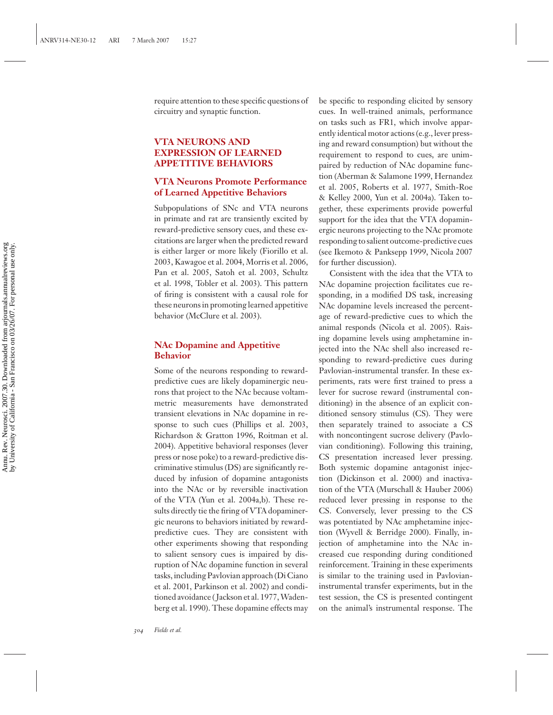require attention to these specific questions of circuitry and synaptic function.

# **VTA NEURONS AND EXPRESSION OF LEARNED APPETITIVE BEHAVIORS**

# **VTA Neurons Promote Performance of Learned Appetitive Behaviors**

Subpopulations of SNc and VTA neurons in primate and rat are transiently excited by reward-predictive sensory cues, and these excitations are larger when the predicted reward is either larger or more likely (Fiorillo et al. 2003, Kawagoe et al. 2004, Morris et al. 2006, Pan et al. 2005, Satoh et al. 2003, Schultz et al. 1998, Tobler et al. 2003). This pattern of firing is consistent with a causal role for these neurons in promoting learned appetitive behavior (McClure et al. 2003).

#### **NAc Dopamine and Appetitive Behavior**

Some of the neurons responding to rewardpredictive cues are likely dopaminergic neurons that project to the NAc because voltammetric measurements have demonstrated transient elevations in NAc dopamine in response to such cues (Phillips et al. 2003, Richardson & Gratton 1996, Roitman et al. 2004). Appetitive behavioral responses (lever press or nose poke) to a reward-predictive discriminative stimulus (DS) are significantly reduced by infusion of dopamine antagonists into the NAc or by reversible inactivation of the VTA (Yun et al. 2004a,b). These results directly tie the firing of VTA dopaminergic neurons to behaviors initiated by rewardpredictive cues. They are consistent with other experiments showing that responding to salient sensory cues is impaired by disruption of NAc dopamine function in several tasks, including Pavlovian approach (Di Ciano et al. 2001, Parkinson et al. 2002) and conditioned avoidance ( Jackson et al. 1977, Wadenberg et al. 1990). These dopamine effects may be specific to responding elicited by sensory cues. In well-trained animals, performance on tasks such as FR1, which involve apparently identical motor actions (e.g., lever pressing and reward consumption) but without the requirement to respond to cues, are unimpaired by reduction of NAc dopamine function (Aberman & Salamone 1999, Hernandez et al. 2005, Roberts et al. 1977, Smith-Roe & Kelley 2000, Yun et al. 2004a). Taken together, these experiments provide powerful support for the idea that the VTA dopaminergic neurons projecting to the NAc promote responding to salient outcome-predictive cues (see Ikemoto & Panksepp 1999, Nicola 2007 for further discussion).

Consistent with the idea that the VTA to NAc dopamine projection facilitates cue responding, in a modified DS task, increasing NAc dopamine levels increased the percentage of reward-predictive cues to which the animal responds (Nicola et al. 2005). Raising dopamine levels using amphetamine injected into the NAc shell also increased responding to reward-predictive cues during Pavlovian-instrumental transfer. In these experiments, rats were first trained to press a lever for sucrose reward (instrumental conditioning) in the absence of an explicit conditioned sensory stimulus (CS). They were then separately trained to associate a CS with noncontingent sucrose delivery (Pavlovian conditioning). Following this training, CS presentation increased lever pressing. Both systemic dopamine antagonist injection (Dickinson et al. 2000) and inactivation of the VTA (Murschall & Hauber 2006) reduced lever pressing in response to the CS. Conversely, lever pressing to the CS was potentiated by NAc amphetamine injection (Wyvell & Berridge 2000). Finally, injection of amphetamine into the NAc increased cue responding during conditioned reinforcement. Training in these experiments is similar to the training used in Pavlovianinstrumental transfer experiments, but in the test session, the CS is presented contingent on the animal's instrumental response. The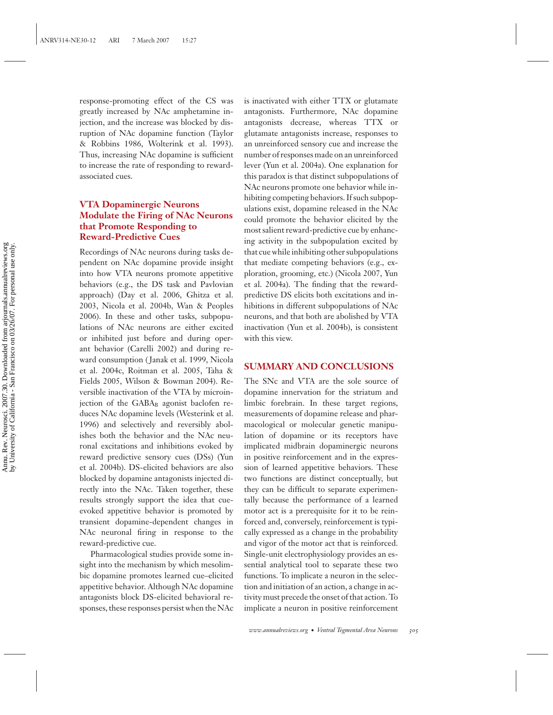response-promoting effect of the CS was greatly increased by NAc amphetamine injection, and the increase was blocked by disruption of NAc dopamine function (Taylor & Robbins 1986, Wolterink et al. 1993). Thus, increasing NAc dopamine is sufficient to increase the rate of responding to rewardassociated cues.

# **VTA Dopaminergic Neurons Modulate the Firing of NAc Neurons that Promote Responding to Reward-Predictive Cues**

Recordings of NAc neurons during tasks dependent on NAc dopamine provide insight into how VTA neurons promote appetitive behaviors (e.g., the DS task and Pavlovian approach) (Day et al. 2006, Ghitza et al. 2003, Nicola et al. 2004b, Wan & Peoples 2006). In these and other tasks, subpopulations of NAc neurons are either excited or inhibited just before and during operant behavior (Carelli 2002) and during reward consumption ( Janak et al. 1999, Nicola et al. 2004c, Roitman et al. 2005, Taha & Fields 2005, Wilson & Bowman 2004). Reversible inactivation of the VTA by microinjection of the  $GABA_B$  agonist baclofen reduces NAc dopamine levels (Westerink et al. 1996) and selectively and reversibly abolishes both the behavior and the NAc neuronal excitations and inhibitions evoked by reward predictive sensory cues (DSs) (Yun et al. 2004b). DS-elicited behaviors are also blocked by dopamine antagonists injected directly into the NAc. Taken together, these results strongly support the idea that cueevoked appetitive behavior is promoted by transient dopamine-dependent changes in NAc neuronal firing in response to the reward-predictive cue.

Pharmacological studies provide some insight into the mechanism by which mesolimbic dopamine promotes learned cue–elicited appetitive behavior. Although NAc dopamine antagonists block DS-elicited behavioral responses, these responses persist when the NAc

is inactivated with either TTX or glutamate antagonists. Furthermore, NAc dopamine antagonists decrease, whereas TTX or glutamate antagonists increase, responses to an unreinforced sensory cue and increase the number of responses made on an unreinforced lever (Yun et al. 2004a). One explanation for this paradox is that distinct subpopulations of NAc neurons promote one behavior while inhibiting competing behaviors. If such subpopulations exist, dopamine released in the NAc could promote the behavior elicited by the most salient reward-predictive cue by enhancing activity in the subpopulation excited by that cue while inhibiting other subpopulations that mediate competing behaviors (e.g., exploration, grooming, etc.) (Nicola 2007, Yun et al. 2004a). The finding that the rewardpredictive DS elicits both excitations and inhibitions in different subpopulations of NAc neurons, and that both are abolished by VTA inactivation (Yun et al. 2004b), is consistent with this view.

#### **SUMMARY AND CONCLUSIONS**

The SNc and VTA are the sole source of dopamine innervation for the striatum and limbic forebrain. In these target regions, measurements of dopamine release and pharmacological or molecular genetic manipulation of dopamine or its receptors have implicated midbrain dopaminergic neurons in positive reinforcement and in the expression of learned appetitive behaviors. These two functions are distinct conceptually, but they can be difficult to separate experimentally because the performance of a learned motor act is a prerequisite for it to be reinforced and, conversely, reinforcement is typically expressed as a change in the probability and vigor of the motor act that is reinforced. Single-unit electrophysiology provides an essential analytical tool to separate these two functions. To implicate a neuron in the selection and initiation of an action, a change in activity must precede the onset of that action. To implicate a neuron in positive reinforcement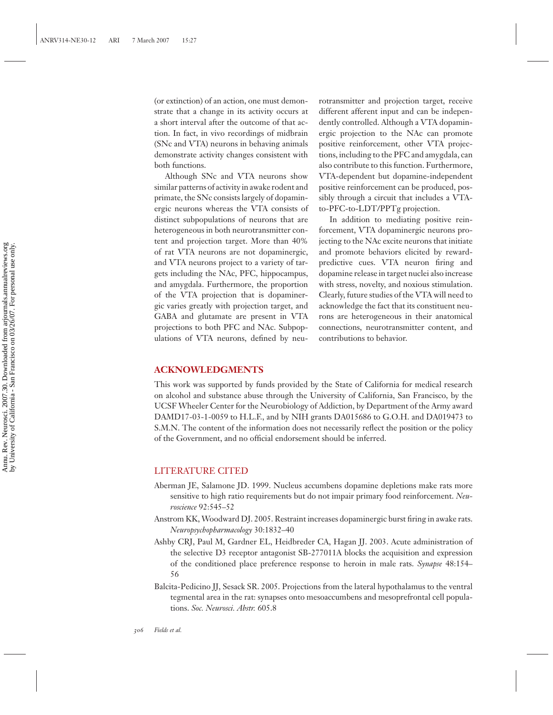(or extinction) of an action, one must demonstrate that a change in its activity occurs at a short interval after the outcome of that action. In fact, in vivo recordings of midbrain (SNc and VTA) neurons in behaving animals demonstrate activity changes consistent with both functions.

Although SNc and VTA neurons show similar patterns of activity in awake rodent and primate, the SNc consists largely of dopaminergic neurons whereas the VTA consists of distinct subpopulations of neurons that are heterogeneous in both neurotransmitter content and projection target. More than 40% of rat VTA neurons are not dopaminergic, and VTA neurons project to a variety of targets including the NAc, PFC, hippocampus, and amygdala. Furthermore, the proportion of the VTA projection that is dopaminergic varies greatly with projection target, and GABA and glutamate are present in VTA projections to both PFC and NAc. Subpopulations of VTA neurons, defined by neurotransmitter and projection target, receive different afferent input and can be independently controlled. Although a VTA dopaminergic projection to the NAc can promote positive reinforcement, other VTA projections, including to the PFC and amygdala, can also contribute to this function. Furthermore, VTA-dependent but dopamine-independent positive reinforcement can be produced, possibly through a circuit that includes a VTAto-PFC-to-LDT/PPTg projection.

In addition to mediating positive reinforcement, VTA dopaminergic neurons projecting to the NAc excite neurons that initiate and promote behaviors elicited by rewardpredictive cues. VTA neuron firing and dopamine release in target nuclei also increase with stress, novelty, and noxious stimulation. Clearly, future studies of the VTA will need to acknowledge the fact that its constituent neurons are heterogeneous in their anatomical connections, neurotransmitter content, and contributions to behavior.

#### **ACKNOWLEDGMENTS**

This work was supported by funds provided by the State of California for medical research on alcohol and substance abuse through the University of California, San Francisco, by the UCSF Wheeler Center for the Neurobiology of Addiction, by Department of the Army award DAMD17-03-1-0059 to H.L.F., and by NIH grants DA015686 to G.O.H. and DA019473 to S.M.N. The content of the information does not necessarily reflect the position or the policy of the Government, and no official endorsement should be inferred.

#### LITERATURE CITED

- Aberman JE, Salamone JD. 1999. Nucleus accumbens dopamine depletions make rats more sensitive to high ratio requirements but do not impair primary food reinforcement. *Neuroscience* 92:545–52
- Anstrom KK, Woodward DJ. 2005. Restraint increases dopaminergic burst firing in awake rats. *Neuropsychopharmacology* 30:1832–40
- Ashby CRJ, Paul M, Gardner EL, Heidbreder CA, Hagan JJ. 2003. Acute administration of the selective D3 receptor antagonist SB-277011A blocks the acquisition and expression of the conditioned place preference response to heroin in male rats. *Synapse* 48:154– 56
- Balcita-Pedicino JJ, Sesack SR. 2005. Projections from the lateral hypothalamus to the ventral tegmental area in the rat: synapses onto mesoaccumbens and mesoprefrontal cell populations. *Soc. Neurosci. Abstr.* 605.8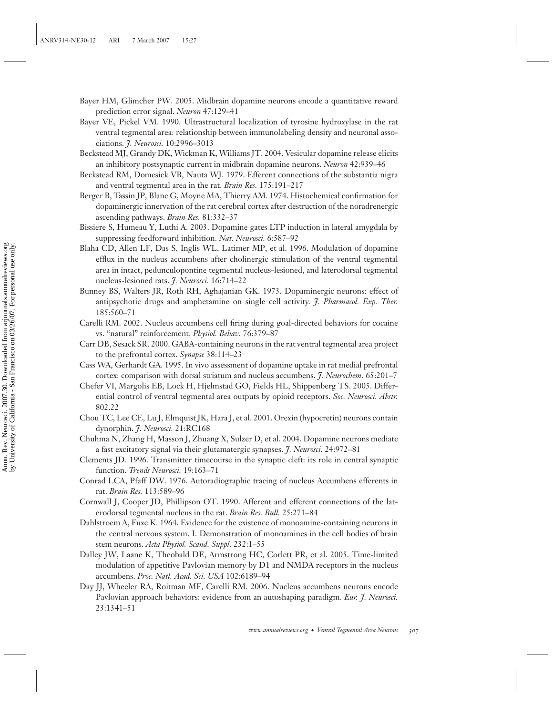- Bayer HM, Glimcher PW. 2005. Midbrain dopamine neurons encode a quantitative reward prediction error signal. *Neuron* 47:129–41
- Bayer VE, Pickel VM. 1990. Ultrastructural localization of tyrosine hydroxylase in the rat ventral tegmental area: relationship between immunolabeling density and neuronal associations. *J. Neurosci.* 10:2996–3013
- Beckstead MJ, Grandy DK, Wickman K, Williams JT. 2004. Vesicular dopamine release elicits an inhibitory postsynaptic current in midbrain dopamine neurons. *Neuron* 42:939–46
- Beckstead RM, Domesick VB, Nauta WJ. 1979. Efferent connections of the substantia nigra and ventral tegmental area in the rat. *Brain Res.* 175:191–217
- Berger B, Tassin JP, Blanc G, Moyne MA, Thierry AM. 1974. Histochemical confirmation for dopaminergic innervation of the rat cerebral cortex after destruction of the noradrenergic ascending pathways. *Brain Res.* 81:332–37
- Bissiere S, Humeau Y, Luthi A. 2003. Dopamine gates LTP induction in lateral amygdala by suppressing feedforward inhibition. *Nat. Neurosci.* 6:587–92
- Blaha CD, Allen LF, Das S, Inglis WL, Latimer MP, et al. 1996. Modulation of dopamine efflux in the nucleus accumbens after cholinergic stimulation of the ventral tegmental area in intact, pedunculopontine tegmental nucleus-lesioned, and laterodorsal tegmental nucleus-lesioned rats. *J. Neurosci.* 16:714–22
- Bunney BS, Walters JR, Roth RH, Aghajanian GK. 1973. Dopaminergic neurons: effect of antipsychotic drugs and amphetamine on single cell activity. *J. Pharmacol. Exp. Ther.* 185:560–71
- Carelli RM. 2002. Nucleus accumbens cell firing during goal-directed behaviors for cocaine vs. "natural" reinforcement. *Physiol. Behav.* 76:379–87
- Carr DB, Sesack SR. 2000. GABA-containing neurons in the rat ventral tegmental area project to the prefrontal cortex. *Synapse* 38:114–23
- Cass WA, Gerhardt GA. 1995. In vivo assessment of dopamine uptake in rat medial prefrontal cortex: comparison with dorsal striatum and nucleus accumbens. *J. Neurochem.* 65:201–7
- Chefer VI, Margolis EB, Lock H, Hjelmstad GO, Fields HL, Shippenberg TS. 2005. Differential control of ventral tegmental area outputs by opioid receptors. *Soc. Neurosci. Abstr.* 802.22
- Chou TC, Lee CE, Lu J, Elmquist JK, Hara J, et al. 2001. Orexin (hypocretin) neurons contain dynorphin. *J. Neurosci.* 21:RC168
- Chuhma N, Zhang H, Masson J, Zhuang X, Sulzer D, et al. 2004. Dopamine neurons mediate a fast excitatory signal via their glutamatergic synapses. *J. Neurosci.* 24:972–81
- Clements JD. 1996. Transmitter timecourse in the synaptic cleft: its role in central synaptic function. *Trends Neurosci.* 19:163–71
- Conrad LCA, Pfaff DW. 1976. Autoradiographic tracing of nucleus Accumbens efferents in rat. *Brain Res.* 113:589–96
- Cornwall J, Cooper JD, Phillipson OT. 1990. Afferent and efferent connections of the laterodorsal tegmental nucleus in the rat. *Brain Res. Bull.* 25:271–84
- Dahlstroem A, Fuxe K. 1964. Evidence for the existence of monoamine-containing neurons in the central nervous system. I. Demonstration of monoamines in the cell bodies of brain stem neurons. *Acta Physiol. Scand. Suppl.* 232:1–55
- Dalley JW, Laane K, Theobald DE, Armstrong HC, Corlett PR, et al. 2005. Time-limited modulation of appetitive Pavlovian memory by D1 and NMDA receptors in the nucleus accumbens. *Proc. Natl. Acad. Sci. USA* 102:6189–94
- Day JJ, Wheeler RA, Roitman MF, Carelli RM. 2006. Nucleus accumbens neurons encode Pavlovian approach behaviors: evidence from an autoshaping paradigm. *Eur. J. Neurosci.* 23:1341–51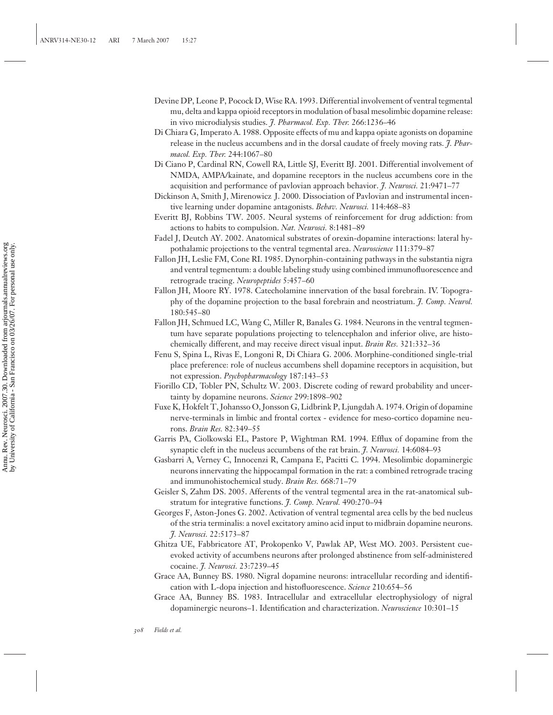- Devine DP, Leone P, Pocock D, Wise RA. 1993. Differential involvement of ventral tegmental mu, delta and kappa opioid receptors in modulation of basal mesolimbic dopamine release: in vivo microdialysis studies. *J. Pharmacol. Exp. Ther.* 266:1236–46
- Di Chiara G, Imperato A. 1988. Opposite effects of mu and kappa opiate agonists on dopamine release in the nucleus accumbens and in the dorsal caudate of freely moving rats. *J. Pharmacol. Exp. Ther.* 244:1067–80
- Di Ciano P, Cardinal RN, Cowell RA, Little SJ, Everitt BJ. 2001. Differential involvement of NMDA, AMPA/kainate, and dopamine receptors in the nucleus accumbens core in the acquisition and performance of pavlovian approach behavior. *J. Neurosci.* 21:9471–77
- Dickinson A, Smith J, Mirenowicz J. 2000. Dissociation of Pavlovian and instrumental incentive learning under dopamine antagonists. *Behav. Neurosci.* 114:468–83
- Everitt BJ, Robbins TW. 2005. Neural systems of reinforcement for drug addiction: from actions to habits to compulsion. *Nat. Neurosci.* 8:1481–89
- Fadel J, Deutch AY. 2002. Anatomical substrates of orexin-dopamine interactions: lateral hypothalamic projections to the ventral tegmental area. *Neuroscience* 111:379–87
- Fallon JH, Leslie FM, Cone RI. 1985. Dynorphin-containing pathways in the substantia nigra and ventral tegmentum: a double labeling study using combined immunofluorescence and retrograde tracing. *Neuropeptides* 5:457–60
- Fallon JH, Moore RY. 1978. Catecholamine innervation of the basal forebrain. IV. Topography of the dopamine projection to the basal forebrain and neostriatum. *J. Comp. Neurol.* 180:545–80
- Fallon JH, Schmued LC, Wang C, Miller R, Banales G. 1984. Neurons in the ventral tegmentum have separate populations projecting to telencephalon and inferior olive, are histochemically different, and may receive direct visual input. *Brain Res.* 321:332–36
- Fenu S, Spina L, Rivas E, Longoni R, Di Chiara G. 2006. Morphine-conditioned single-trial place preference: role of nucleus accumbens shell dopamine receptors in acquisition, but not expression. *Psychopharmacology* 187:143–53
- Fiorillo CD, Tobler PN, Schultz W. 2003. Discrete coding of reward probability and uncertainty by dopamine neurons. *Science* 299:1898–902
- Fuxe K, Hokfelt T, Johansso O, Jonsson G, Lidbrink P, Ljungdah A. 1974. Origin of dopamine nerve-terminals in limbic and frontal cortex - evidence for meso-cortico dopamine neurons. *Brain Res.* 82:349–55
- Garris PA, Ciolkowski EL, Pastore P, Wightman RM. 1994. Efflux of dopamine from the synaptic cleft in the nucleus accumbens of the rat brain. *J. Neurosci.* 14:6084–93
- Gasbarri A, Verney C, Innocenzi R, Campana E, Pacitti C. 1994. Mesolimbic dopaminergic neurons innervating the hippocampal formation in the rat: a combined retrograde tracing and immunohistochemical study. *Brain Res.* 668:71–79
- Geisler S, Zahm DS. 2005. Afferents of the ventral tegmental area in the rat-anatomical substratum for integrative functions. *J. Comp. Neurol.* 490:270–94
- Georges F, Aston-Jones G. 2002. Activation of ventral tegmental area cells by the bed nucleus of the stria terminalis: a novel excitatory amino acid input to midbrain dopamine neurons. *J. Neurosci.* 22:5173–87
- Ghitza UE, Fabbricatore AT, Prokopenko V, Pawlak AP, West MO. 2003. Persistent cueevoked activity of accumbens neurons after prolonged abstinence from self-administered cocaine. *J. Neurosci.* 23:7239–45
- Grace AA, Bunney BS. 1980. Nigral dopamine neurons: intracellular recording and identification with L-dopa injection and histofluorescence. *Science* 210:654–56
- Grace AA, Bunney BS. 1983. Intracellular and extracellular electrophysiology of nigral dopaminergic neurons–1. Identification and characterization. *Neuroscience* 10:301–15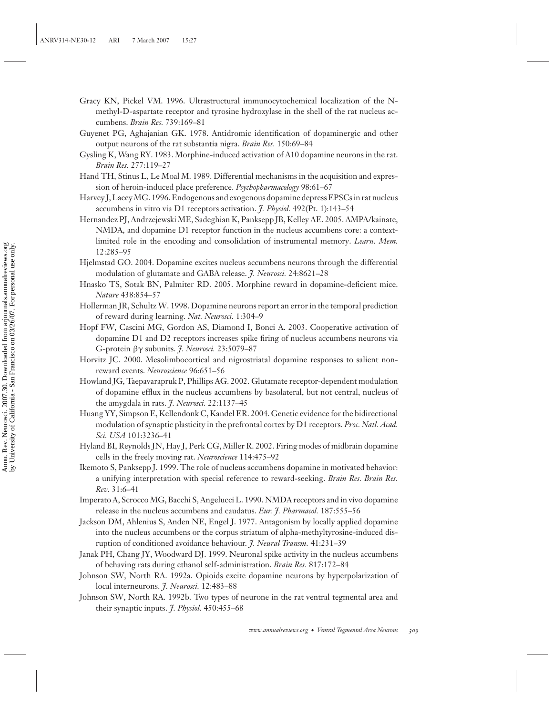- Gracy KN, Pickel VM. 1996. Ultrastructural immunocytochemical localization of the Nmethyl-D-aspartate receptor and tyrosine hydroxylase in the shell of the rat nucleus accumbens. *Brain Res.* 739:169–81
- Guyenet PG, Aghajanian GK. 1978. Antidromic identification of dopaminergic and other output neurons of the rat substantia nigra. *Brain Res.* 150:69–84
- Gysling K, Wang RY. 1983. Morphine-induced activation of A10 dopamine neurons in the rat. *Brain Res.* 277:119–27
- Hand TH, Stinus L, Le Moal M. 1989. Differential mechanisms in the acquisition and expression of heroin-induced place preference. *Psychopharmacology* 98:61–67
- Harvey J, Lacey MG. 1996. Endogenous and exogenous dopamine depress EPSCs in rat nucleus accumbens in vitro via D1 receptors activation. *J. Physiol.* 492(Pt. 1):143–54
- Hernandez PJ, Andrzejewski ME, Sadeghian K, Panksepp JB, Kelley AE. 2005. AMPA/kainate, NMDA, and dopamine D1 receptor function in the nucleus accumbens core: a contextlimited role in the encoding and consolidation of instrumental memory. *Learn. Mem.* 12:285–95
- Hjelmstad GO. 2004. Dopamine excites nucleus accumbens neurons through the differential modulation of glutamate and GABA release. *J. Neurosci.* 24:8621–28
- Hnasko TS, Sotak BN, Palmiter RD. 2005. Morphine reward in dopamine-deficient mice. *Nature* 438:854–57
- Hollerman JR, Schultz W. 1998. Dopamine neurons report an error in the temporal prediction of reward during learning. *Nat. Neurosci.* 1:304–9
- Hopf FW, Cascini MG, Gordon AS, Diamond I, Bonci A. 2003. Cooperative activation of dopamine D1 and D2 receptors increases spike firing of nucleus accumbens neurons via G-protein βγ subunits. *J. Neurosci.* 23:5079–87
- Horvitz JC. 2000. Mesolimbocortical and nigrostriatal dopamine responses to salient nonreward events. *Neuroscience* 96:651–56
- Howland JG, Taepavarapruk P, Phillips AG. 2002. Glutamate receptor-dependent modulation of dopamine efflux in the nucleus accumbens by basolateral, but not central, nucleus of the amygdala in rats. *J. Neurosci.* 22:1137–45
- Huang YY, Simpson E, Kellendonk C, Kandel ER. 2004. Genetic evidence for the bidirectional modulation of synaptic plasticity in the prefrontal cortex by D1 receptors. *Proc. Natl. Acad. Sci. USA* 101:3236–41
- Hyland BI, Reynolds JN, Hay J, Perk CG, Miller R. 2002. Firing modes of midbrain dopamine cells in the freely moving rat. *Neuroscience* 114:475–92
- Ikemoto S, Panksepp J. 1999. The role of nucleus accumbens dopamine in motivated behavior: a unifying interpretation with special reference to reward-seeking. *Brain Res. Brain Res. Rev.* 31:6–41
- Imperato A, Scrocco MG, Bacchi S, Angelucci L. 1990. NMDA receptors and in vivo dopamine release in the nucleus accumbens and caudatus. *Eur. J. Pharmacol.* 187:555–56
- Jackson DM, Ahlenius S, Anden NE, Engel J. 1977. Antagonism by locally applied dopamine into the nucleus accumbens or the corpus striatum of alpha-methyltyrosine-induced disruption of conditioned avoidance behaviour. *J. Neural Transm.* 41:231–39
- Janak PH, Chang JY, Woodward DJ. 1999. Neuronal spike activity in the nucleus accumbens of behaving rats during ethanol self-administration. *Brain Res.* 817:172–84
- Johnson SW, North RA. 1992a. Opioids excite dopamine neurons by hyperpolarization of local interneurons. *J. Neurosci.* 12:483–88
- Johnson SW, North RA. 1992b. Two types of neurone in the rat ventral tegmental area and their synaptic inputs. *J. Physiol.* 450:455–68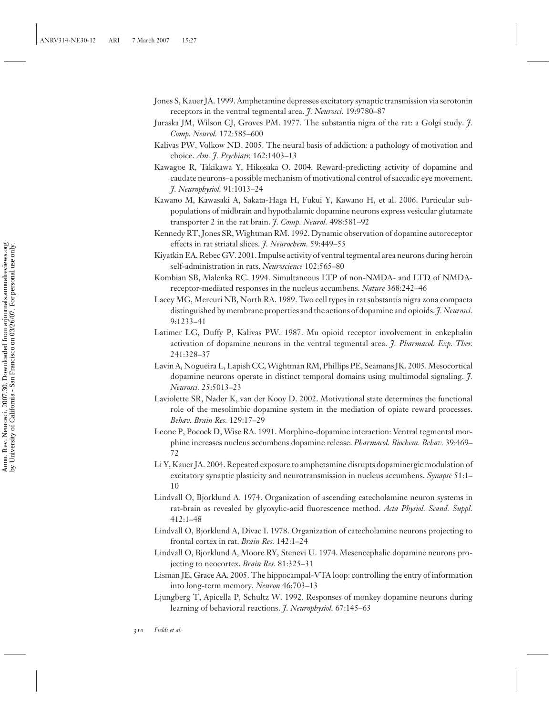- Jones S, Kauer JA. 1999. Amphetamine depresses excitatory synaptic transmission via serotonin receptors in the ventral tegmental area. *J. Neurosci.* 19:9780–87
- Juraska JM, Wilson CJ, Groves PM. 1977. The substantia nigra of the rat: a Golgi study. *J. Comp. Neurol.* 172:585–600
- Kalivas PW, Volkow ND. 2005. The neural basis of addiction: a pathology of motivation and choice. *Am. J. Psychiatr.* 162:1403–13
- Kawagoe R, Takikawa Y, Hikosaka O. 2004. Reward-predicting activity of dopamine and caudate neurons–a possible mechanism of motivational control of saccadic eye movement. *J. Neurophysiol.* 91:1013–24
- Kawano M, Kawasaki A, Sakata-Haga H, Fukui Y, Kawano H, et al. 2006. Particular subpopulations of midbrain and hypothalamic dopamine neurons express vesicular glutamate transporter 2 in the rat brain. *J. Comp. Neurol.* 498:581–92
- Kennedy RT, Jones SR, Wightman RM. 1992. Dynamic observation of dopamine autoreceptor effects in rat striatal slices. *J. Neurochem.* 59:449–55
- Kiyatkin EA, Rebec GV. 2001. Impulse activity of ventral tegmental area neurons during heroin self-administration in rats. *Neuroscience* 102:565–80
- Kombian SB, Malenka RC. 1994. Simultaneous LTP of non-NMDA- and LTD of NMDAreceptor-mediated responses in the nucleus accumbens. *Nature* 368:242–46
- Lacey MG, Mercuri NB, North RA. 1989. Two cell types in rat substantia nigra zona compacta distinguished by membrane properties and the actions of dopamine and opioids. *J. Neurosci.* 9:1233–41
- Latimer LG, Duffy P, Kalivas PW. 1987. Mu opioid receptor involvement in enkephalin activation of dopamine neurons in the ventral tegmental area. *J. Pharmacol. Exp. Ther.* 241:328–37
- Lavin A, Nogueira L, Lapish CC, Wightman RM, Phillips PE, Seamans JK. 2005. Mesocortical dopamine neurons operate in distinct temporal domains using multimodal signaling. *J. Neurosci.* 25:5013–23
- Laviolette SR, Nader K, van der Kooy D. 2002. Motivational state determines the functional role of the mesolimbic dopamine system in the mediation of opiate reward processes. *Behav. Brain Res.* 129:17–29
- Leone P, Pocock D, Wise RA. 1991. Morphine-dopamine interaction: Ventral tegmental morphine increases nucleus accumbens dopamine release. *Pharmacol. Biochem. Behav.* 39:469– 72
- Li Y, Kauer JA. 2004. Repeated exposure to amphetamine disrupts dopaminergic modulation of excitatory synaptic plasticity and neurotransmission in nucleus accumbens. *Synapse* 51:1– 10
- Lindvall O, Bjorklund A. 1974. Organization of ascending catecholamine neuron systems in rat-brain as revealed by glyoxylic-acid fluorescence method. *Acta Physiol. Scand. Suppl.* 412:1–48
- Lindvall O, Bjorklund A, Divac I. 1978. Organization of catecholamine neurons projecting to frontal cortex in rat. *Brain Res.* 142:1–24
- Lindvall O, Bjorklund A, Moore RY, Stenevi U. 1974. Mesencephalic dopamine neurons projecting to neocortex. *Brain Res.* 81:325–31
- Lisman JE, Grace AA. 2005. The hippocampal-VTA loop: controlling the entry of information into long-term memory. *Neuron* 46:703–13
- Ljungberg T, Apicella P, Schultz W. 1992. Responses of monkey dopamine neurons during learning of behavioral reactions. *J. Neurophysiol.* 67:145–63

*310 Fields et al.*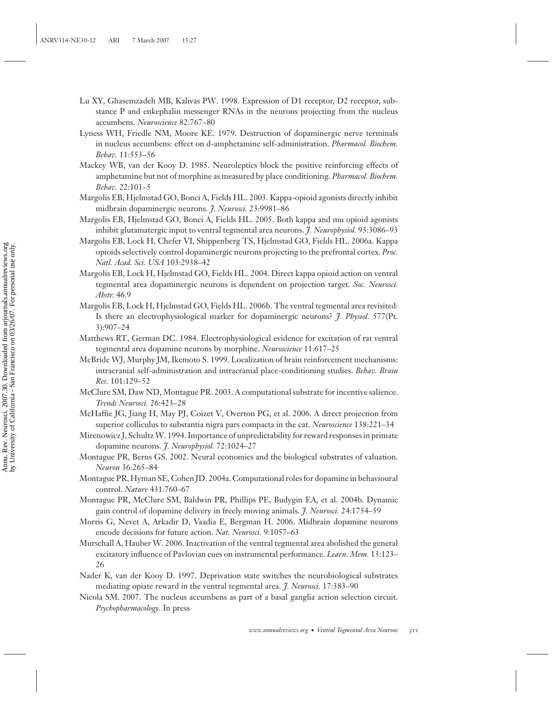- Lu XY, Ghasemzadeh MB, Kalivas PW. 1998. Expression of D1 receptor, D2 receptor, substance P and enkephalin messenger RNAs in the neurons projecting from the nucleus accumbens. *Neuroscience* 82:767–80
- Lyness WH, Friedle NM, Moore KE. 1979. Destruction of dopaminergic nerve terminals in nucleus accumbens: effect on d-amphetamine self-administration. *Pharmacol. Biochem. Behav.* 11:553–56
- Mackey WB, van der Kooy D. 1985. Neuroleptics block the positive reinforcing effects of amphetamine but not of morphine as measured by place conditioning. *Pharmacol. Biochem. Behav.* 22:101–5
- Margolis EB, Hjelmstad GO, Bonci A, Fields HL. 2003. Kappa-opioid agonists directly inhibit midbrain dopaminergic neurons. *J. Neurosci.* 23:9981–86
- Margolis EB, Hjelmstad GO, Bonci A, Fields HL. 2005. Both kappa and mu opioid agonists inhibit glutamatergic input to ventral tegmental area neurons. *J. Neurophysiol.* 93:3086–93
- Margolis EB, Lock H, Chefer VI, Shippenberg TS, Hjelmstad GO, Fields HL. 2006a. Kappa opioids selectively control dopaminergic neurons projecting to the prefrontal cortex. *Proc. Natl. Acad. Sci. USA* 103:2938–42
- Margolis EB, Lock H, Hjelmstad GO, Fields HL. 2004. Direct kappa opioid action on ventral tegmental area dopaminergic neurons is dependent on projection target. *Soc. Neurosci. Abstr.* 46.9
- Margolis EB, Lock H, Hjelmstad GO, Fields HL. 2006b. The ventral tegmental area revisited: Is there an electrophysiological marker for dopaminergic neurons? *J. Physiol.* 577(Pt. 3):907–24
- Matthews RT, German DC. 1984. Electrophysiological evidence for excitation of rat ventral tegmental area dopamine neurons by morphine. *Neuroscience* 11:617–25
- McBride WJ, Murphy JM, Ikemoto S. 1999. Localization of brain reinforcement mechanisms: intracranial self-administration and intracranial place-conditioning studies. *Behav. Brain Res.* 101:129–52
- McClure SM, Daw ND, Montague PR. 2003. A computational substrate for incentive salience. *Trends Neurosci.* 26:423–28
- McHaffie JG, Jiang H, May PJ, Coizet V, Overton PG, et al. 2006. A direct projection from superior colliculus to substantia nigra pars compacta in the cat. *Neuroscience* 138:221–34
- Mirenowicz J, Schultz W. 1994. Importance of unpredictability for reward responses in primate dopamine neurons. *J. Neurophysiol.* 72:1024–27
- Montague PR, Berns GS. 2002. Neural economics and the biological substrates of valuation. *Neuron* 36:265–84
- Montague PR, Hyman SE, Cohen JD. 2004a. Computational roles for dopamine in behavioural control. *Nature* 431:760–67
- Montague PR, McClure SM, Baldwin PR, Phillips PE, Budygin EA, et al. 2004b. Dynamic gain control of dopamine delivery in freely moving animals. *J. Neurosci.* 24:1754–59
- Morris G, Nevet A, Arkadir D, Vaadia E, Bergman H. 2006. Midbrain dopamine neurons encode decisions for future action. *Nat. Neurosci.* 9:1057–63
- Murschall A, Hauber W. 2006. Inactivation of the ventral tegmental area abolished the general excitatory influence of Pavlovian cues on instrumental performance. *Learn. Mem.* 13:123– 26
- Nader K, van der Kooy D. 1997. Deprivation state switches the neurobiological substrates mediating opiate reward in the ventral tegmental area. *J. Neurosci.* 17:383–90
- Nicola SM. 2007. The nucleus accumbens as part of a basal ganglia action selection circuit. *Psychopharmacology*. In press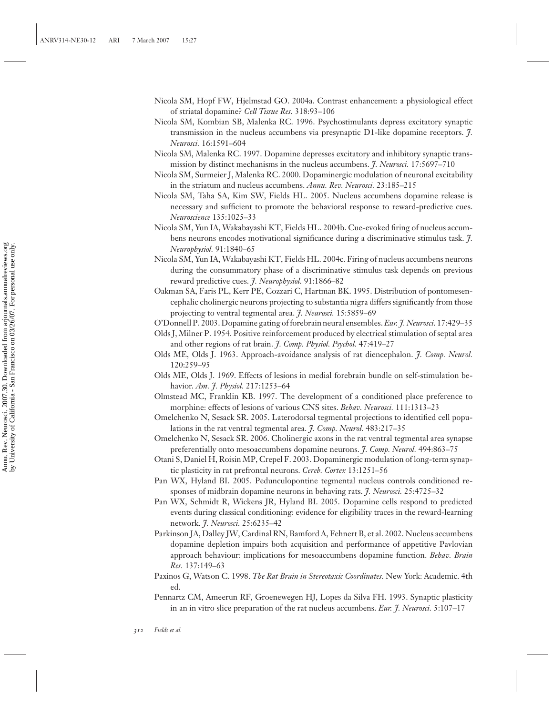- Nicola SM, Hopf FW, Hjelmstad GO. 2004a. Contrast enhancement: a physiological effect of striatal dopamine? *Cell Tissue Res.* 318:93–106
- Nicola SM, Kombian SB, Malenka RC. 1996. Psychostimulants depress excitatory synaptic transmission in the nucleus accumbens via presynaptic D1-like dopamine receptors. *J. Neurosci.* 16:1591–604
- Nicola SM, Malenka RC. 1997. Dopamine depresses excitatory and inhibitory synaptic transmission by distinct mechanisms in the nucleus accumbens. *J. Neurosci.* 17:5697–710
- Nicola SM, Surmeier J, Malenka RC. 2000. Dopaminergic modulation of neuronal excitability in the striatum and nucleus accumbens. *Annu. Rev. Neurosci.* 23:185–215
- Nicola SM, Taha SA, Kim SW, Fields HL. 2005. Nucleus accumbens dopamine release is necessary and sufficient to promote the behavioral response to reward-predictive cues. *Neuroscience* 135:1025–33
- Nicola SM, Yun IA, Wakabayashi KT, Fields HL. 2004b. Cue-evoked firing of nucleus accumbens neurons encodes motivational significance during a discriminative stimulus task. *J. Neurophysiol.* 91:1840–65
- Nicola SM, Yun IA, Wakabayashi KT, Fields HL. 2004c. Firing of nucleus accumbens neurons during the consummatory phase of a discriminative stimulus task depends on previous reward predictive cues. *J. Neurophysiol.* 91:1866–82
- Oakman SA, Faris PL, Kerr PE, Cozzari C, Hartman BK. 1995. Distribution of pontomesencephalic cholinergic neurons projecting to substantia nigra differs significantly from those projecting to ventral tegmental area. *J. Neurosci.* 15:5859–69

O'Donnell P. 2003. Dopamine gating of forebrain neural ensembles. *Eur. J. Neurosci.* 17:429–35

Olds J, Milner P. 1954. Positive reinforcement produced by electrical stimulation of septal area and other regions of rat brain. *J. Comp. Physiol. Psychol.* 47:419–27

- Olds ME, Olds J. 1963. Approach-avoidance analysis of rat diencephalon. *J. Comp. Neurol.* 120:259–95
- Olds ME, Olds J. 1969. Effects of lesions in medial forebrain bundle on self-stimulation behavior. *Am. J. Physiol.* 217:1253–64
- Olmstead MC, Franklin KB. 1997. The development of a conditioned place preference to morphine: effects of lesions of various CNS sites. *Behav. Neurosci.* 111:1313–23
- Omelchenko N, Sesack SR. 2005. Laterodorsal tegmental projections to identified cell populations in the rat ventral tegmental area. *J. Comp. Neurol.* 483:217–35
- Omelchenko N, Sesack SR. 2006. Cholinergic axons in the rat ventral tegmental area synapse preferentially onto mesoaccumbens dopamine neurons. *J. Comp. Neurol.* 494:863–75
- Otani S, Daniel H, Roisin MP, Crepel F. 2003. Dopaminergic modulation of long-term synaptic plasticity in rat prefrontal neurons. *Cereb. Cortex* 13:1251–56
- Pan WX, Hyland BI. 2005. Pedunculopontine tegmental nucleus controls conditioned responses of midbrain dopamine neurons in behaving rats. *J. Neurosci.* 25:4725–32
- Pan WX, Schmidt R, Wickens JR, Hyland BI. 2005. Dopamine cells respond to predicted events during classical conditioning: evidence for eligibility traces in the reward-learning network. *J. Neurosci.* 25:6235–42
- Parkinson JA, Dalley JW, Cardinal RN, Bamford A, Fehnert B, et al. 2002. Nucleus accumbens dopamine depletion impairs both acquisition and performance of appetitive Pavlovian approach behaviour: implications for mesoaccumbens dopamine function. *Behav. Brain Res.* 137:149–63
- Paxinos G, Watson C. 1998. *The Rat Brain in Stereotaxic Coordinates*. New York: Academic. 4th ed.
- Pennartz CM, Ameerun RF, Groenewegen HJ, Lopes da Silva FH. 1993. Synaptic plasticity in an in vitro slice preparation of the rat nucleus accumbens. *Eur. J. Neurosci.* 5:107–17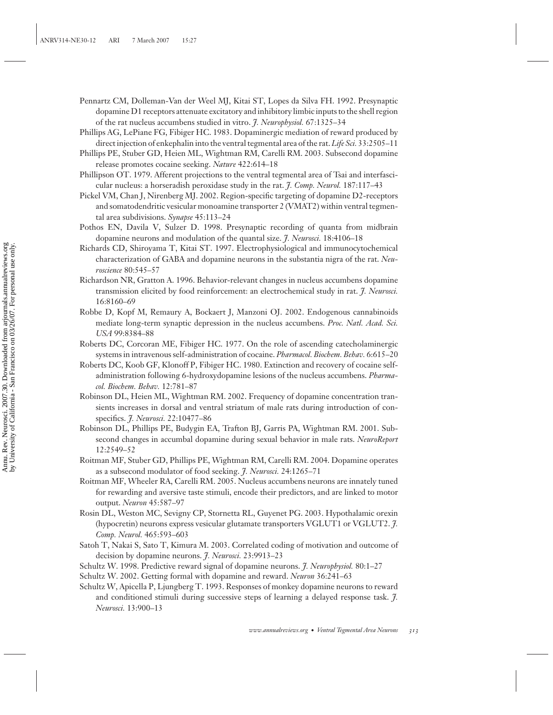- Pennartz CM, Dolleman-Van der Weel MJ, Kitai ST, Lopes da Silva FH. 1992. Presynaptic dopamine D1 receptors attenuate excitatory and inhibitory limbic inputs to the shell region of the rat nucleus accumbens studied in vitro. *J. Neurophysiol.* 67:1325–34
- Phillips AG, LePiane FG, Fibiger HC. 1983. Dopaminergic mediation of reward produced by direct injection of enkephalin into the ventral tegmental area of the rat. *Life Sci.* 33:2505–11
- Phillips PE, Stuber GD, Heien ML, Wightman RM, Carelli RM. 2003. Subsecond dopamine release promotes cocaine seeking. *Nature* 422:614–18
- Phillipson OT. 1979. Afferent projections to the ventral tegmental area of Tsai and interfascicular nucleus: a horseradish peroxidase study in the rat. *J. Comp. Neurol.* 187:117–43
- Pickel VM, Chan J, Nirenberg MJ. 2002. Region-specific targeting of dopamine D2-receptors and somatodendritic vesicular monoamine transporter 2 (VMAT2) within ventral tegmental area subdivisions. *Synapse* 45:113–24
- Pothos EN, Davila V, Sulzer D. 1998. Presynaptic recording of quanta from midbrain dopamine neurons and modulation of the quantal size. *J. Neurosci.* 18:4106–18
- Richards CD, Shiroyama T, Kitai ST. 1997. Electrophysiological and immunocytochemical characterization of GABA and dopamine neurons in the substantia nigra of the rat. *Neuroscience* 80:545–57
- Richardson NR, Gratton A. 1996. Behavior-relevant changes in nucleus accumbens dopamine transmission elicited by food reinforcement: an electrochemical study in rat. *J. Neurosci.* 16:8160–69
- Robbe D, Kopf M, Remaury A, Bockaert J, Manzoni OJ. 2002. Endogenous cannabinoids mediate long-term synaptic depression in the nucleus accumbens. *Proc. Natl. Acad. Sci. USA* 99:8384–88
- Roberts DC, Corcoran ME, Fibiger HC. 1977. On the role of ascending catecholaminergic systems in intravenous self-administration of cocaine. *Pharmacol. Biochem. Behav.* 6:615–20
- Roberts DC, Koob GF, Klonoff P, Fibiger HC. 1980. Extinction and recovery of cocaine selfadministration following 6-hydroxydopamine lesions of the nucleus accumbens. *Pharmacol. Biochem. Behav.* 12:781–87
- Robinson DL, Heien ML, Wightman RM. 2002. Frequency of dopamine concentration transients increases in dorsal and ventral striatum of male rats during introduction of conspecifics. *J. Neurosci.* 22:10477–86
- Robinson DL, Phillips PE, Budygin EA, Trafton BJ, Garris PA, Wightman RM. 2001. Subsecond changes in accumbal dopamine during sexual behavior in male rats. *NeuroReport* 12:2549–52
- Roitman MF, Stuber GD, Phillips PE, Wightman RM, Carelli RM. 2004. Dopamine operates as a subsecond modulator of food seeking. *J. Neurosci.* 24:1265–71
- Roitman MF, Wheeler RA, Carelli RM. 2005. Nucleus accumbens neurons are innately tuned for rewarding and aversive taste stimuli, encode their predictors, and are linked to motor output. *Neuron* 45:587–97
- Rosin DL, Weston MC, Sevigny CP, Stornetta RL, Guyenet PG. 2003. Hypothalamic orexin (hypocretin) neurons express vesicular glutamate transporters VGLUT1 or VGLUT2. *J. Comp. Neurol.* 465:593–603
- Satoh T, Nakai S, Sato T, Kimura M. 2003. Correlated coding of motivation and outcome of decision by dopamine neurons. *J. Neurosci.* 23:9913–23
- Schultz W. 1998. Predictive reward signal of dopamine neurons. *J. Neurophysiol.* 80:1–27
- Schultz W. 2002. Getting formal with dopamine and reward. *Neuron* 36:241–63
- Schultz W, Apicella P, Ljungberg T. 1993. Responses of monkey dopamine neurons to reward and conditioned stimuli during successive steps of learning a delayed response task. *J. Neurosci.* 13:900–13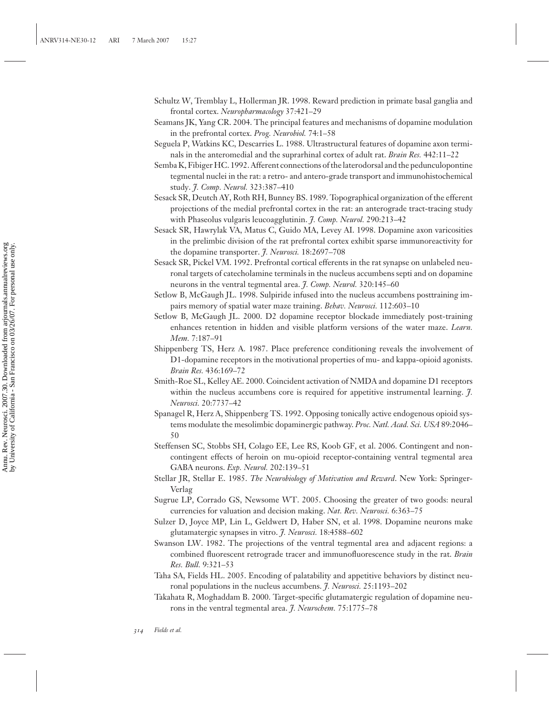- Schultz W, Tremblay L, Hollerman JR. 1998. Reward prediction in primate basal ganglia and frontal cortex. *Neuropharmacology* 37:421–29
- Seamans JK, Yang CR. 2004. The principal features and mechanisms of dopamine modulation in the prefrontal cortex. *Prog. Neurobiol.* 74:1–58
- Seguela P, Watkins KC, Descarries L. 1988. Ultrastructural features of dopamine axon terminals in the anteromedial and the suprarhinal cortex of adult rat. *Brain Res.* 442:11–22
- Semba K, Fibiger HC. 1992. Afferent connections of the laterodorsal and the pedunculopontine tegmental nuclei in the rat: a retro- and antero-grade transport and immunohistochemical study. *J. Comp. Neurol.* 323:387–410
- Sesack SR, Deutch AY, Roth RH, Bunney BS. 1989. Topographical organization of the efferent projections of the medial prefrontal cortex in the rat: an anterograde tract-tracing study with Phaseolus vulgaris leucoagglutinin. *J. Comp. Neurol.* 290:213–42
- Sesack SR, Hawrylak VA, Matus C, Guido MA, Levey AI. 1998. Dopamine axon varicosities in the prelimbic division of the rat prefrontal cortex exhibit sparse immunoreactivity for the dopamine transporter. *J. Neurosci.* 18:2697–708
- Sesack SR, Pickel VM. 1992. Prefrontal cortical efferents in the rat synapse on unlabeled neuronal targets of catecholamine terminals in the nucleus accumbens septi and on dopamine neurons in the ventral tegmental area. *J. Comp. Neurol.* 320:145–60
- Setlow B, McGaugh JL. 1998. Sulpiride infused into the nucleus accumbens posttraining impairs memory of spatial water maze training. *Behav. Neurosci.* 112:603–10
- Setlow B, McGaugh JL. 2000. D2 dopamine receptor blockade immediately post-training enhances retention in hidden and visible platform versions of the water maze. *Learn. Mem.* 7:187–91
- Shippenberg TS, Herz A. 1987. Place preference conditioning reveals the involvement of D1-dopamine receptors in the motivational properties of mu- and kappa-opioid agonists. *Brain Res.* 436:169–72
- Smith-Roe SL, Kelley AE. 2000. Coincident activation of NMDA and dopamine D1 receptors within the nucleus accumbens core is required for appetitive instrumental learning. *J. Neurosci.* 20:7737–42
- Spanagel R, Herz A, Shippenberg TS. 1992. Opposing tonically active endogenous opioid systems modulate the mesolimbic dopaminergic pathway. *Proc. Natl. Acad. Sci. USA* 89:2046– 50
- Steffensen SC, Stobbs SH, Colago EE, Lee RS, Koob GF, et al. 2006. Contingent and noncontingent effects of heroin on mu-opioid receptor-containing ventral tegmental area GABA neurons. *Exp. Neurol.* 202:139–51
- Stellar JR, Stellar E. 1985. *The Neurobiology of Motivation and Reward*. New York: Springer-Verlag
- Sugrue LP, Corrado GS, Newsome WT. 2005. Choosing the greater of two goods: neural currencies for valuation and decision making. *Nat. Rev. Neurosci.* 6:363–75
- Sulzer D, Joyce MP, Lin L, Geldwert D, Haber SN, et al. 1998. Dopamine neurons make glutamatergic synapses in vitro. *J. Neurosci.* 18:4588–602
- Swanson LW. 1982. The projections of the ventral tegmental area and adjacent regions: a combined fluorescent retrograde tracer and immunofluorescence study in the rat. *Brain Res. Bull.* 9:321–53
- Taha SA, Fields HL. 2005. Encoding of palatability and appetitive behaviors by distinct neuronal populations in the nucleus accumbens. *J. Neurosci.* 25:1193–202
- Takahata R, Moghaddam B. 2000. Target-specific glutamatergic regulation of dopamine neurons in the ventral tegmental area. *J. Neurochem.* 75:1775–78

*314 Fields et al.*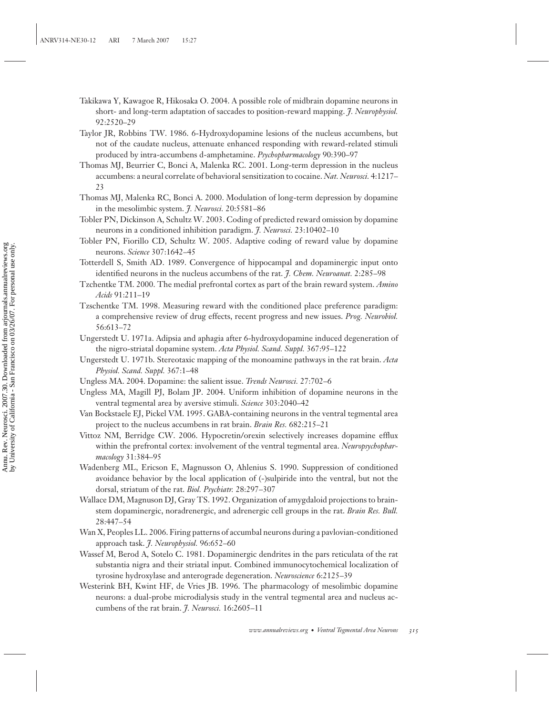- Takikawa Y, Kawagoe R, Hikosaka O. 2004. A possible role of midbrain dopamine neurons in short- and long-term adaptation of saccades to position-reward mapping. *J. Neurophysiol.* 92:2520–29
- Taylor JR, Robbins TW. 1986. 6-Hydroxydopamine lesions of the nucleus accumbens, but not of the caudate nucleus, attenuate enhanced responding with reward-related stimuli produced by intra-accumbens d-amphetamine. *Psychopharmacology* 90:390–97
- Thomas MJ, Beurrier C, Bonci A, Malenka RC. 2001. Long-term depression in the nucleus accumbens: a neural correlate of behavioral sensitization to cocaine. *Nat. Neurosci.* 4:1217– 23
- Thomas MJ, Malenka RC, Bonci A. 2000. Modulation of long-term depression by dopamine in the mesolimbic system. *J. Neurosci.* 20:5581–86
- Tobler PN, Dickinson A, Schultz W. 2003. Coding of predicted reward omission by dopamine neurons in a conditioned inhibition paradigm. *J. Neurosci.* 23:10402–10
- Tobler PN, Fiorillo CD, Schultz W. 2005. Adaptive coding of reward value by dopamine neurons. *Science* 307:1642–45
- Totterdell S, Smith AD. 1989. Convergence of hippocampal and dopaminergic input onto identified neurons in the nucleus accumbens of the rat. *J. Chem. Neuroanat.* 2:285–98
- Tzchentke TM. 2000. The medial prefrontal cortex as part of the brain reward system. *Amino Acids* 91:211–19
- Tzschentke TM. 1998. Measuring reward with the conditioned place preference paradigm: a comprehensive review of drug effects, recent progress and new issues. *Prog. Neurobiol.* 56:613–72
- Ungerstedt U. 1971a. Adipsia and aphagia after 6-hydroxydopamine induced degeneration of the nigro-striatal dopamine system. *Acta Physiol. Scand. Suppl.* 367:95–122
- Ungerstedt U. 1971b. Stereotaxic mapping of the monoamine pathways in the rat brain. *Acta Physiol. Scand. Suppl.* 367:1–48
- Ungless MA. 2004. Dopamine: the salient issue. *Trends Neurosci.* 27:702–6
- Ungless MA, Magill PJ, Bolam JP. 2004. Uniform inhibition of dopamine neurons in the ventral tegmental area by aversive stimuli. *Science* 303:2040–42
- Van Bockstaele EJ, Pickel VM. 1995. GABA-containing neurons in the ventral tegmental area project to the nucleus accumbens in rat brain. *Brain Res.* 682:215–21
- Vittoz NM, Berridge CW. 2006. Hypocretin/orexin selectively increases dopamine efflux within the prefrontal cortex: involvement of the ventral tegmental area. *Neuropsychopharmacology* 31:384–95
- Wadenberg ML, Ericson E, Magnusson O, Ahlenius S. 1990. Suppression of conditioned avoidance behavior by the local application of (-)sulpiride into the ventral, but not the dorsal, striatum of the rat. *Biol. Psychiatr.* 28:297–307
- Wallace DM, Magnuson DJ, Gray TS. 1992. Organization of amygdaloid projections to brainstem dopaminergic, noradrenergic, and adrenergic cell groups in the rat. *Brain Res. Bull.* 28:447–54
- Wan X, Peoples LL. 2006. Firing patterns of accumbal neurons during a pavlovian-conditioned approach task. *J. Neurophysiol.* 96:652–60
- Wassef M, Berod A, Sotelo C. 1981. Dopaminergic dendrites in the pars reticulata of the rat substantia nigra and their striatal input. Combined immunocytochemical localization of tyrosine hydroxylase and anterograde degeneration. *Neuroscience* 6:2125–39
- Westerink BH, Kwint HF, de Vries JB. 1996. The pharmacology of mesolimbic dopamine neurons: a dual-probe microdialysis study in the ventral tegmental area and nucleus accumbens of the rat brain. *J. Neurosci.* 16:2605–11